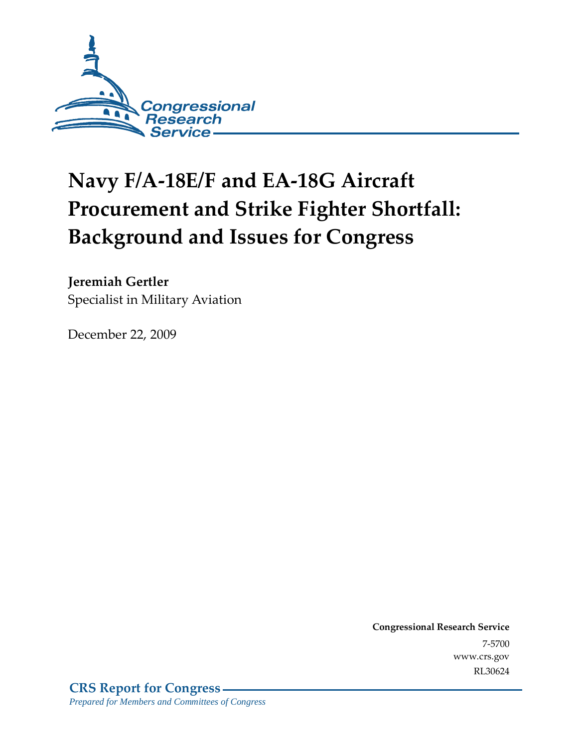

# **Navy F/A-18E/F and EA-18G Aircraft Procurement and Strike Fighter Shortfall: Background and Issues for Congress**

# **Jeremiah Gertler**

Specialist in Military Aviation

December 22, 2009

**Congressional Research Service** 7-5700 www.crs.gov RL30624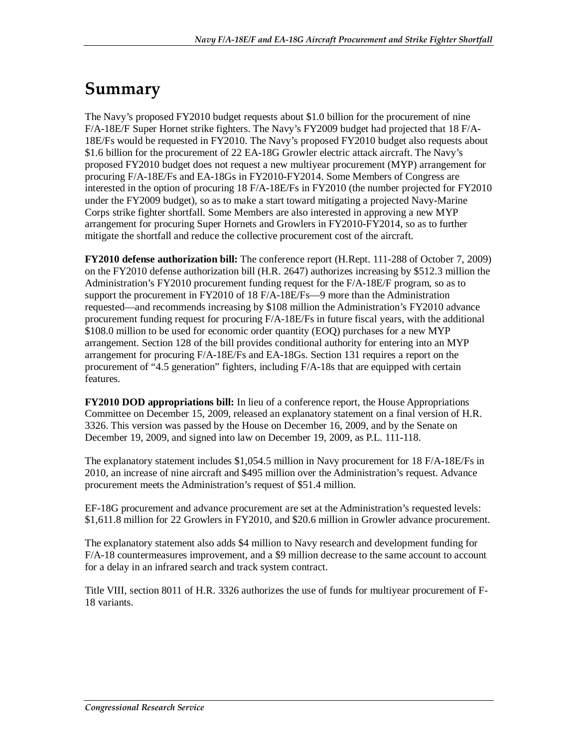# **Summary**

The Navy's proposed FY2010 budget requests about \$1.0 billion for the procurement of nine F/A-18E/F Super Hornet strike fighters. The Navy's FY2009 budget had projected that 18 F/A-18E/Fs would be requested in FY2010. The Navy's proposed FY2010 budget also requests about \$1.6 billion for the procurement of 22 EA-18G Growler electric attack aircraft. The Navy's proposed FY2010 budget does not request a new multiyear procurement (MYP) arrangement for procuring F/A-18E/Fs and EA-18Gs in FY2010-FY2014. Some Members of Congress are interested in the option of procuring 18 F/A-18E/Fs in FY2010 (the number projected for FY2010 under the FY2009 budget), so as to make a start toward mitigating a projected Navy-Marine Corps strike fighter shortfall. Some Members are also interested in approving a new MYP arrangement for procuring Super Hornets and Growlers in FY2010-FY2014, so as to further mitigate the shortfall and reduce the collective procurement cost of the aircraft.

**FY2010 defense authorization bill:** The conference report (H.Rept. 111-288 of October 7, 2009) on the FY2010 defense authorization bill (H.R. 2647) authorizes increasing by \$512.3 million the Administration's FY2010 procurement funding request for the F/A-18E/F program, so as to support the procurement in FY2010 of 18 F/A-18E/Fs—9 more than the Administration requested—and recommends increasing by \$108 million the Administration's FY2010 advance procurement funding request for procuring F/A-18E/Fs in future fiscal years, with the additional \$108.0 million to be used for economic order quantity (EOQ) purchases for a new MYP arrangement. Section 128 of the bill provides conditional authority for entering into an MYP arrangement for procuring F/A-18E/Fs and EA-18Gs. Section 131 requires a report on the procurement of "4.5 generation" fighters, including F/A-18s that are equipped with certain features.

**FY2010 DOD appropriations bill:** In lieu of a conference report, the House Appropriations Committee on December 15, 2009, released an explanatory statement on a final version of H.R. 3326. This version was passed by the House on December 16, 2009, and by the Senate on December 19, 2009, and signed into law on December 19, 2009, as P.L. 111-118.

The explanatory statement includes \$1,054.5 million in Navy procurement for 18 F/A-18E/Fs in 2010, an increase of nine aircraft and \$495 million over the Administration's request. Advance procurement meets the Administration's request of \$51.4 million.

EF-18G procurement and advance procurement are set at the Administration's requested levels: \$1,611.8 million for 22 Growlers in FY2010, and \$20.6 million in Growler advance procurement.

The explanatory statement also adds \$4 million to Navy research and development funding for F/A-18 countermeasures improvement, and a \$9 million decrease to the same account to account for a delay in an infrared search and track system contract.

Title VIII, section 8011 of H.R. 3326 authorizes the use of funds for multiyear procurement of F-18 variants.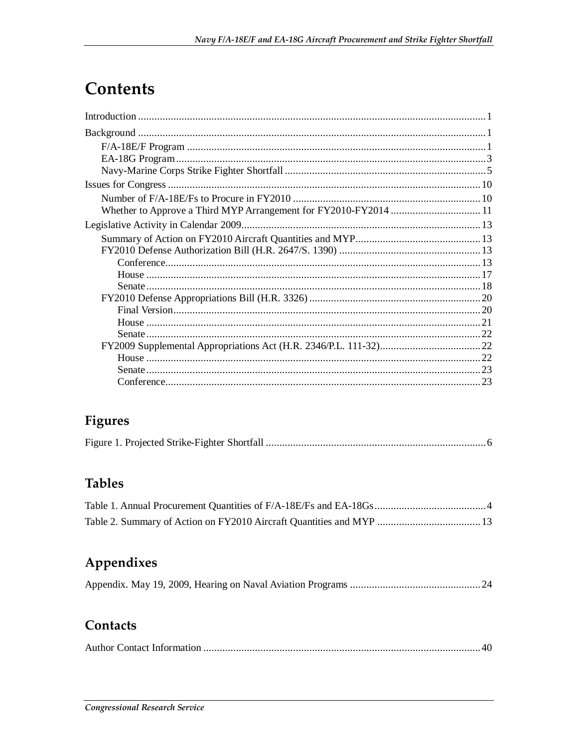# **Contents**

| Whether to Approve a Third MYP Arrangement for FY2010-FY2014  11 |  |
|------------------------------------------------------------------|--|
|                                                                  |  |
|                                                                  |  |
|                                                                  |  |
|                                                                  |  |
|                                                                  |  |
|                                                                  |  |
|                                                                  |  |
|                                                                  |  |

# Figures

|--|--|--|--|

# **Tables**

# Appendixes

# Contacts

|--|--|--|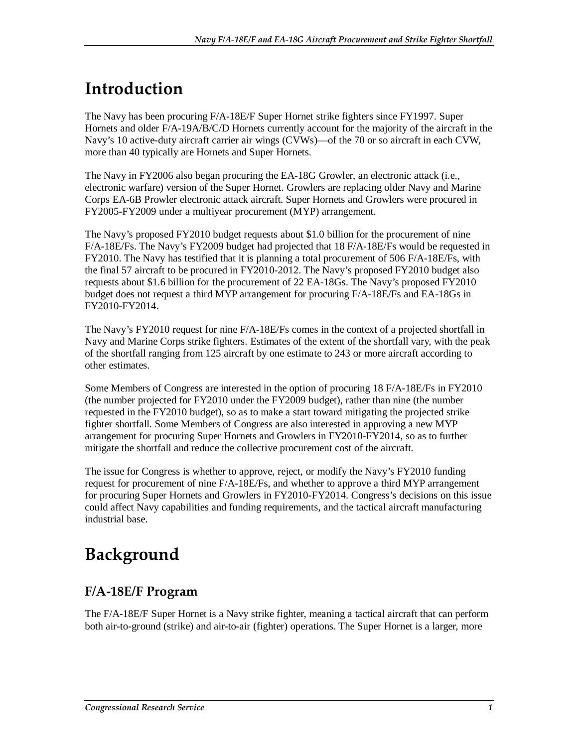# **Introduction**

The Navy has been procuring F/A-18E/F Super Hornet strike fighters since FY1997. Super Hornets and older F/A-19A/B/C/D Hornets currently account for the majority of the aircraft in the Navy's 10 active-duty aircraft carrier air wings (CVWs)—of the 70 or so aircraft in each CVW, more than 40 typically are Hornets and Super Hornets.

The Navy in FY2006 also began procuring the EA-18G Growler, an electronic attack (i.e., electronic warfare) version of the Super Hornet. Growlers are replacing older Navy and Marine Corps EA-6B Prowler electronic attack aircraft. Super Hornets and Growlers were procured in FY2005-FY2009 under a multiyear procurement (MYP) arrangement.

The Navy's proposed FY2010 budget requests about \$1.0 billion for the procurement of nine F/A-18E/Fs. The Navy's FY2009 budget had projected that 18 F/A-18E/Fs would be requested in FY2010. The Navy has testified that it is planning a total procurement of 506 F/A-18E/Fs, with the final 57 aircraft to be procured in FY2010-2012. The Navy's proposed FY2010 budget also requests about \$1.6 billion for the procurement of 22 EA-18Gs. The Navy's proposed FY2010 budget does not request a third MYP arrangement for procuring F/A-18E/Fs and EA-18Gs in FY2010-FY2014.

The Navy's FY2010 request for nine F/A-18E/Fs comes in the context of a projected shortfall in Navy and Marine Corps strike fighters. Estimates of the extent of the shortfall vary, with the peak of the shortfall ranging from 125 aircraft by one estimate to 243 or more aircraft according to other estimates.

Some Members of Congress are interested in the option of procuring 18 F/A-18E/Fs in FY2010 (the number projected for FY2010 under the FY2009 budget), rather than nine (the number requested in the FY2010 budget), so as to make a start toward mitigating the projected strike fighter shortfall. Some Members of Congress are also interested in approving a new MYP arrangement for procuring Super Hornets and Growlers in FY2010-FY2014, so as to further mitigate the shortfall and reduce the collective procurement cost of the aircraft.

The issue for Congress is whether to approve, reject, or modify the Navy's FY2010 funding request for procurement of nine F/A-18E/Fs, and whether to approve a third MYP arrangement for procuring Super Hornets and Growlers in FY2010-FY2014. Congress's decisions on this issue could affect Navy capabilities and funding requirements, and the tactical aircraft manufacturing industrial base.

# **Background**

# **F/A-18E/F Program**

The F/A-18E/F Super Hornet is a Navy strike fighter, meaning a tactical aircraft that can perform both air-to-ground (strike) and air-to-air (fighter) operations. The Super Hornet is a larger, more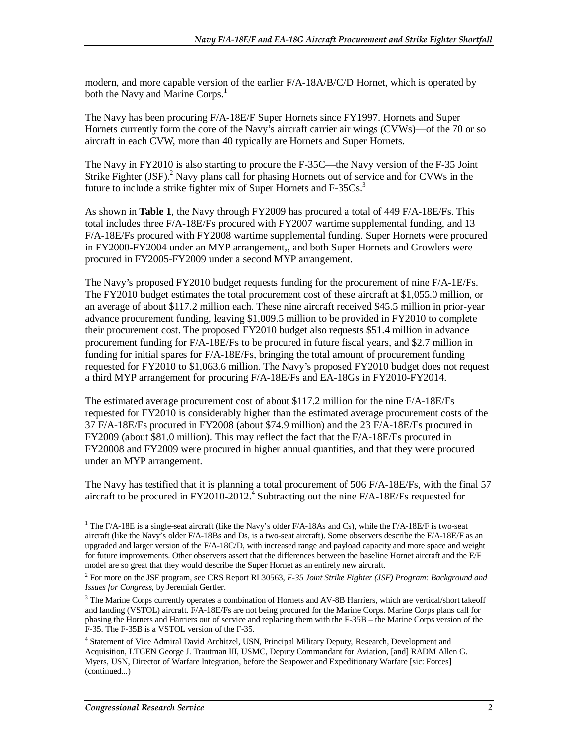modern, and more capable version of the earlier F/A-18A/B/C/D Hornet, which is operated by both the Navy and Marine Corps.<sup>1</sup>

The Navy has been procuring F/A-18E/F Super Hornets since FY1997. Hornets and Super Hornets currently form the core of the Navy's aircraft carrier air wings (CVWs)—of the 70 or so aircraft in each CVW, more than 40 typically are Hornets and Super Hornets.

The Navy in FY2010 is also starting to procure the F-35C—the Navy version of the F-35 Joint Strike Fighter (JSF).<sup>2</sup> Navy plans call for phasing Hornets out of service and for CVWs in the future to include a strike fighter mix of Super Hornets and F-35Cs.<sup>3</sup>

As shown in **Table 1**, the Navy through FY2009 has procured a total of 449 F/A-18E/Fs. This total includes three F/A-18E/Fs procured with FY2007 wartime supplemental funding, and 13 F/A-18E/Fs procured with FY2008 wartime supplemental funding. Super Hornets were procured in FY2000-FY2004 under an MYP arrangement,, and both Super Hornets and Growlers were procured in FY2005-FY2009 under a second MYP arrangement.

The Navy's proposed FY2010 budget requests funding for the procurement of nine F/A-1E/Fs. The FY2010 budget estimates the total procurement cost of these aircraft at \$1,055.0 million, or an average of about \$117.2 million each. These nine aircraft received \$45.5 million in prior-year advance procurement funding, leaving \$1,009.5 million to be provided in FY2010 to complete their procurement cost. The proposed FY2010 budget also requests \$51.4 million in advance procurement funding for F/A-18E/Fs to be procured in future fiscal years, and \$2.7 million in funding for initial spares for F/A-18E/Fs, bringing the total amount of procurement funding requested for FY2010 to \$1,063.6 million. The Navy's proposed FY2010 budget does not request a third MYP arrangement for procuring F/A-18E/Fs and EA-18Gs in FY2010-FY2014.

The estimated average procurement cost of about \$117.2 million for the nine F/A-18E/Fs requested for FY2010 is considerably higher than the estimated average procurement costs of the 37 F/A-18E/Fs procured in FY2008 (about \$74.9 million) and the 23 F/A-18E/Fs procured in FY2009 (about \$81.0 million). This may reflect the fact that the F/A-18E/Fs procured in FY20008 and FY2009 were procured in higher annual quantities, and that they were procured under an MYP arrangement.

The Navy has testified that it is planning a total procurement of 506 F/A-18E/Fs, with the final 57 aircraft to be procured in FY2010-2012.<sup>4</sup> Subtracting out the nine F/A-18E/Fs requested for

<sup>&</sup>lt;sup>1</sup> The F/A-18E is a single-seat aircraft (like the Navy's older F/A-18As and Cs), while the F/A-18E/F is two-seat aircraft (like the Navy's older F/A-18Bs and Ds, is a two-seat aircraft). Some observers describe the F/A-18E/F as an upgraded and larger version of the F/A-18C/D, with increased range and payload capacity and more space and weight for future improvements. Other observers assert that the differences between the baseline Hornet aircraft and the E/F model are so great that they would describe the Super Hornet as an entirely new aircraft.

<sup>2</sup> For more on the JSF program, see CRS Report RL30563, *F-35 Joint Strike Fighter (JSF) Program: Background and Issues for Congress*, by Jeremiah Gertler.

<sup>&</sup>lt;sup>3</sup> The Marine Corps currently operates a combination of Hornets and AV-8B Harriers, which are vertical/short takeoff and landing (VSTOL) aircraft. F/A-18E/Fs are not being procured for the Marine Corps. Marine Corps plans call for phasing the Hornets and Harriers out of service and replacing them with the F-35B – the Marine Corps version of the F-35. The F-35B is a VSTOL version of the F-35.

<sup>&</sup>lt;sup>4</sup> Statement of Vice Admiral David Architzel, USN, Principal Military Deputy, Research, Development and Acquisition, LTGEN George J. Trautman III, USMC, Deputy Commandant for Aviation, [and] RADM Allen G. Myers, USN, Director of Warfare Integration, before the Seapower and Expeditionary Warfare [sic: Forces] (continued...)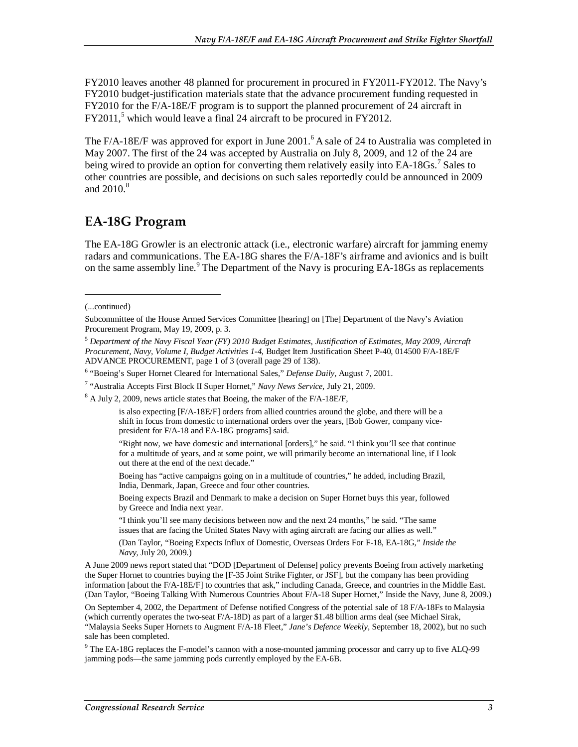FY2010 leaves another 48 planned for procurement in procured in FY2011-FY2012. The Navy's FY2010 budget-justification materials state that the advance procurement funding requested in FY2010 for the F/A-18E/F program is to support the planned procurement of 24 aircraft in FY2011,<sup>5</sup> which would leave a final 24 aircraft to be procured in FY2012.

The F/A-18E/F was approved for export in June 2001.<sup>6</sup> A sale of 24 to Australia was completed in May 2007. The first of the 24 was accepted by Australia on July 8, 2009, and 12 of the 24 are being wired to provide an option for converting them relatively easily into EA-18Gs.<sup>7</sup> Sales to other countries are possible, and decisions on such sales reportedly could be announced in 2009 and  $2010<sup>8</sup>$ 

## **EA-18G Program**

The EA-18G Growler is an electronic attack (i.e., electronic warfare) aircraft for jamming enemy radars and communications. The EA-18G shares the F/A-18F's airframe and avionics and is built on the same assembly line.<sup>9</sup> The Department of the Navy is procuring EA-18Gs as replacements

1

"Right now, we have domestic and international [orders]," he said. "I think you'll see that continue for a multitude of years, and at some point, we will primarily become an international line, if I look out there at the end of the next decade."

Boeing has "active campaigns going on in a multitude of countries," he added, including Brazil, India, Denmark, Japan, Greece and four other countries.

Boeing expects Brazil and Denmark to make a decision on Super Hornet buys this year, followed by Greece and India next year.

"I think you'll see many decisions between now and the next 24 months," he said. "The same issues that are facing the United States Navy with aging aircraft are facing our allies as well."

(Dan Taylor, "Boeing Expects Influx of Domestic, Overseas Orders For F-18, EA-18G," *Inside the Navy*, July 20, 2009.)

A June 2009 news report stated that "DOD [Department of Defense] policy prevents Boeing from actively marketing the Super Hornet to countries buying the [F-35 Joint Strike Fighter, or JSF], but the company has been providing information [about the F/A-18E/F] to countries that ask," including Canada, Greece, and countries in the Middle East. (Dan Taylor, "Boeing Talking With Numerous Countries About F/A-18 Super Hornet," Inside the Navy, June 8, 2009.)

On September 4, 2002, the Department of Defense notified Congress of the potential sale of 18 F/A-18Fs to Malaysia (which currently operates the two-seat F/A-18D) as part of a larger \$1.48 billion arms deal (see Michael Sirak, "Malaysia Seeks Super Hornets to Augment F/A-18 Fleet," *Jane's Defence Weekly*, September 18, 2002), but no such sale has been completed.

<sup>9</sup> The EA-18G replaces the F-model's cannon with a nose-mounted jamming processor and carry up to five ALQ-99 jamming pods—the same jamming pods currently employed by the EA-6B.

<sup>(...</sup>continued)

Subcommittee of the House Armed Services Committee [hearing] on [The] Department of the Navy's Aviation Procurement Program, May 19, 2009, p. 3.

<sup>5</sup> *Department of the Navy Fiscal Year (FY) 2010 Budget Estimates, Justification of Estimates, May 2009, Aircraft Procurement, Navy, Volume I, Budget Activities 1-4*, Budget Item Justification Sheet P-40, 014500 F/A-18E/F ADVANCE PROCUREMENT, page 1 of 3 (overall page 29 of 138).

<sup>&</sup>lt;sup>6</sup> "Boeing's Super Hornet Cleared for International Sales," Defense Daily, August 7, 2001.

<sup>7</sup> "Australia Accepts First Block II Super Hornet," *Navy News Service*, July 21, 2009.

<sup>&</sup>lt;sup>8</sup> A July 2, 2009, news article states that Boeing, the maker of the F/A-18E/F,

is also expecting [F/A-18E/F] orders from allied countries around the globe, and there will be a shift in focus from domestic to international orders over the years, [Bob Gower, company vicepresident for F/A-18 and EA-18G programs] said.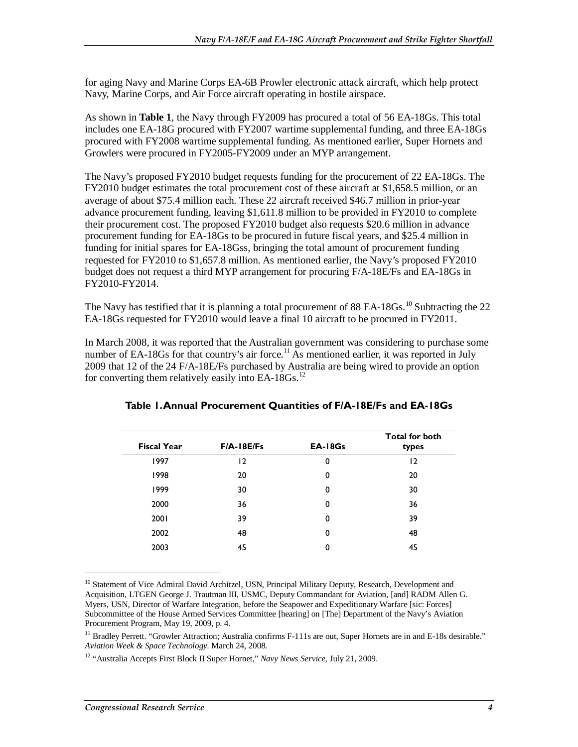for aging Navy and Marine Corps EA-6B Prowler electronic attack aircraft, which help protect Navy, Marine Corps, and Air Force aircraft operating in hostile airspace.

As shown in **Table 1**, the Navy through FY2009 has procured a total of 56 EA-18Gs. This total includes one EA-18G procured with FY2007 wartime supplemental funding, and three EA-18Gs procured with FY2008 wartime supplemental funding. As mentioned earlier, Super Hornets and Growlers were procured in FY2005-FY2009 under an MYP arrangement.

The Navy's proposed FY2010 budget requests funding for the procurement of 22 EA-18Gs. The FY2010 budget estimates the total procurement cost of these aircraft at \$1,658.5 million, or an average of about \$75.4 million each. These 22 aircraft received \$46.7 million in prior-year advance procurement funding, leaving \$1,611.8 million to be provided in FY2010 to complete their procurement cost. The proposed FY2010 budget also requests \$20.6 million in advance procurement funding for EA-18Gs to be procured in future fiscal years, and \$25.4 million in funding for initial spares for EA-18Gss, bringing the total amount of procurement funding requested for FY2010 to \$1,657.8 million. As mentioned earlier, the Navy's proposed FY2010 budget does not request a third MYP arrangement for procuring F/A-18E/Fs and EA-18Gs in FY2010-FY2014.

The Navy has testified that it is planning a total procurement of 88 EA-18Gs.<sup>10</sup> Subtracting the 22 EA-18Gs requested for FY2010 would leave a final 10 aircraft to be procured in FY2011.

In March 2008, it was reported that the Australian government was considering to purchase some number of EA-18Gs for that country's air force.<sup>11</sup> As mentioned earlier, it was reported in July 2009 that 12 of the 24 F/A-18E/Fs purchased by Australia are being wired to provide an option for converting them relatively easily into EA-18Gs.<sup>12</sup>

| $F/A - 18E/Fs$ | $EA-18Gs$ | <b>Total for both</b><br>types |
|----------------|-----------|--------------------------------|
| $\overline{2}$ | 0         | $\overline{2}$                 |
| 20             | 0         | 20                             |
| 30             | 0         | 30                             |
| 36             | 0         | 36                             |
| 39             | 0         | 39                             |
| 48             | 0         | 48                             |
| 45             | 0         | 45                             |
|                |           |                                |

### **Table 1. Annual Procurement Quantities of F/A-18E/Fs and EA-18Gs**

<sup>10</sup> Statement of Vice Admiral David Architzel, USN, Principal Military Deputy, Research, Development and Acquisition, LTGEN George J. Trautman III, USMC, Deputy Commandant for Aviation, [and] RADM Allen G. Myers, USN, Director of Warfare Integration, before the Seapower and Expeditionary Warfare [sic: Forces] Subcommittee of the House Armed Services Committee [hearing] on [The] Department of the Navy's Aviation Procurement Program, May 19, 2009, p. 4.

12 "Australia Accepts First Block II Super Hornet," *Navy News Service*, July 21, 2009.

<sup>&</sup>lt;sup>11</sup> Bradley Perrett. "Growler Attraction; Australia confirms F-111s are out, Super Hornets are in and E-18s desirable." *Aviation Week & Space Technology.* March 24, 2008.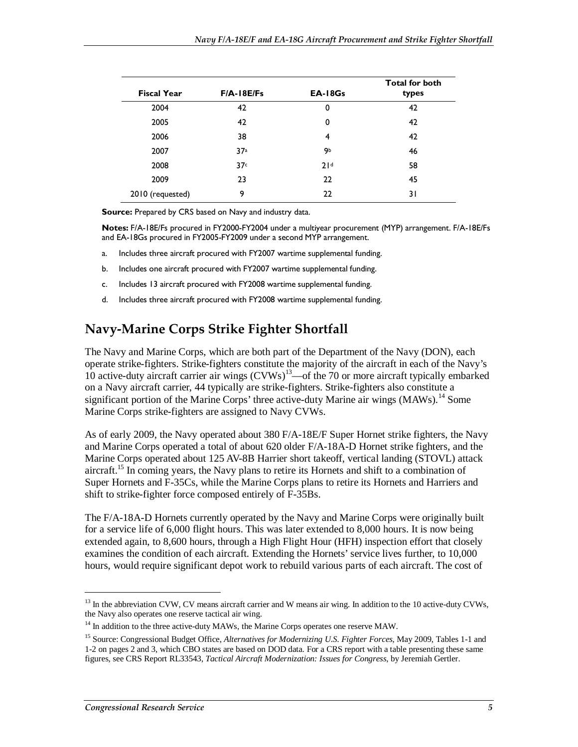| <b>Fiscal Year</b> | $F/A - 18E/Fs$ | <b>EA-18Gs</b> | <b>Total for both</b><br>types |
|--------------------|----------------|----------------|--------------------------------|
| 2004               | 42             | 0              | 42                             |
| 2005               | 42             | 0              | 42                             |
| 2006               | 38             | 4              | 42                             |
| 2007               | 37a            | 9ь             | 46                             |
| 2008               | 37c            | 21d            | 58                             |
| 2009               | 23             | 22             | 45                             |
| 2010 (requested)   | 9              | 22             | 31                             |

**Source:** Prepared by CRS based on Navy and industry data.

**Notes:** F/A-18E/Fs procured in FY2000-FY2004 under a multiyear procurement (MYP) arrangement. F/A-18E/Fs and EA-18Gs procured in FY2005-FY2009 under a second MYP arrangement.

- a. Includes three aircraft procured with FY2007 wartime supplemental funding.
- b. Includes one aircraft procured with FY2007 wartime supplemental funding.
- c. Includes 13 aircraft procured with FY2008 wartime supplemental funding.
- d. Includes three aircraft procured with FY2008 wartime supplemental funding.

# **Navy-Marine Corps Strike Fighter Shortfall**

The Navy and Marine Corps, which are both part of the Department of the Navy (DON), each operate strike-fighters. Strike-fighters constitute the majority of the aircraft in each of the Navy's 10 active-duty aircraft carrier air wings  $(CVWs)^{13}$ —of the 70 or more aircraft typically embarked on a Navy aircraft carrier, 44 typically are strike-fighters. Strike-fighters also constitute a significant portion of the Marine Corps' three active-duty Marine air wings (MAWs).<sup>14</sup> Some Marine Corps strike-fighters are assigned to Navy CVWs.

As of early 2009, the Navy operated about 380 F/A-18E/F Super Hornet strike fighters, the Navy and Marine Corps operated a total of about 620 older F/A-18A-D Hornet strike fighters, and the Marine Corps operated about 125 AV-8B Harrier short takeoff, vertical landing (STOVL) attack aircraft.<sup>15</sup> In coming years, the Navy plans to retire its Hornets and shift to a combination of Super Hornets and F-35Cs, while the Marine Corps plans to retire its Hornets and Harriers and shift to strike-fighter force composed entirely of F-35Bs.

The F/A-18A-D Hornets currently operated by the Navy and Marine Corps were originally built for a service life of 6,000 flight hours. This was later extended to 8,000 hours. It is now being extended again, to 8,600 hours, through a High Flight Hour (HFH) inspection effort that closely examines the condition of each aircraft. Extending the Hornets' service lives further, to 10,000 hours, would require significant depot work to rebuild various parts of each aircraft. The cost of

<sup>&</sup>lt;sup>13</sup> In the abbreviation CVW, CV means aircraft carrier and W means air wing. In addition to the 10 active-duty CVWs, the Navy also operates one reserve tactical air wing.

<sup>&</sup>lt;sup>14</sup> In addition to the three active-duty MAWs, the Marine Corps operates one reserve MAW.

<sup>15</sup> Source: Congressional Budget Office, *Alternatives for Modernizing U.S. Fighter Forces*, May 2009, Tables 1-1 and 1-2 on pages 2 and 3, which CBO states are based on DOD data. For a CRS report with a table presenting these same figures, see CRS Report RL33543, *Tactical Aircraft Modernization: Issues for Congress*, by Jeremiah Gertler.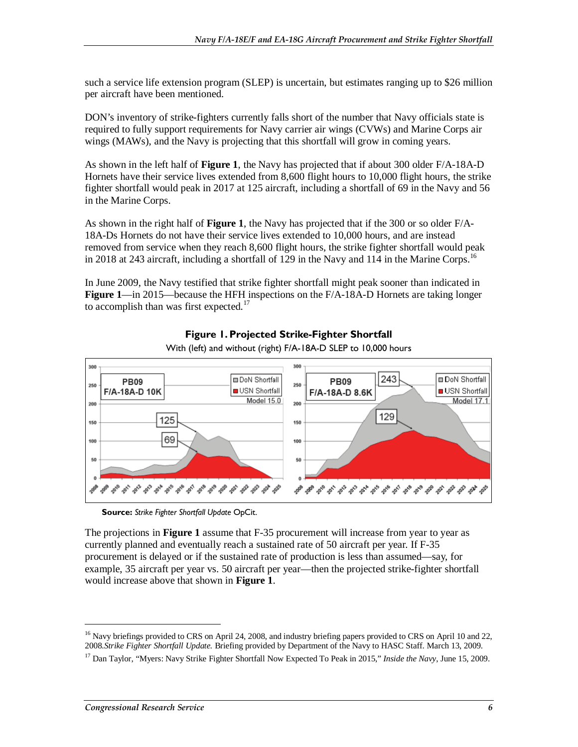such a service life extension program (SLEP) is uncertain, but estimates ranging up to \$26 million per aircraft have been mentioned.

DON's inventory of strike-fighters currently falls short of the number that Navy officials state is required to fully support requirements for Navy carrier air wings (CVWs) and Marine Corps air wings (MAWs), and the Navy is projecting that this shortfall will grow in coming years.

As shown in the left half of **Figure 1**, the Navy has projected that if about 300 older F/A-18A-D Hornets have their service lives extended from 8,600 flight hours to 10,000 flight hours, the strike fighter shortfall would peak in 2017 at 125 aircraft, including a shortfall of 69 in the Navy and 56 in the Marine Corps.

As shown in the right half of **Figure 1**, the Navy has projected that if the 300 or so older F/A-18A-Ds Hornets do not have their service lives extended to 10,000 hours, and are instead removed from service when they reach 8,600 flight hours, the strike fighter shortfall would peak in 2018 at 243 aircraft, including a shortfall of 129 in the Navy and 114 in the Marine Corps.<sup>16</sup>

In June 2009, the Navy testified that strike fighter shortfall might peak sooner than indicated in **Figure 1**—in 2015—because the HFH inspections on the F/A-18A-D Hornets are taking longer to accomplish than was first expected. $17$ 



### **Figure 1. Projected Strike-Fighter Shortfall**

**Source:** *Strike Fighter Shortfall Update* OpCit.

The projections in **Figure 1** assume that F-35 procurement will increase from year to year as currently planned and eventually reach a sustained rate of 50 aircraft per year. If F-35 procurement is delayed or if the sustained rate of production is less than assumed—say, for example, 35 aircraft per year vs. 50 aircraft per year—then the projected strike-fighter shortfall would increase above that shown in **Figure 1**.

<sup>&</sup>lt;sup>16</sup> Navy briefings provided to CRS on April 24, 2008, and industry briefing papers provided to CRS on April 10 and 22, 2008.*Strike Fighter Shortfall Update.* Briefing provided by Department of the Navy to HASC Staff. March 13, 2009.

<sup>17</sup> Dan Taylor, "Myers: Navy Strike Fighter Shortfall Now Expected To Peak in 2015," *Inside the Navy*, June 15, 2009.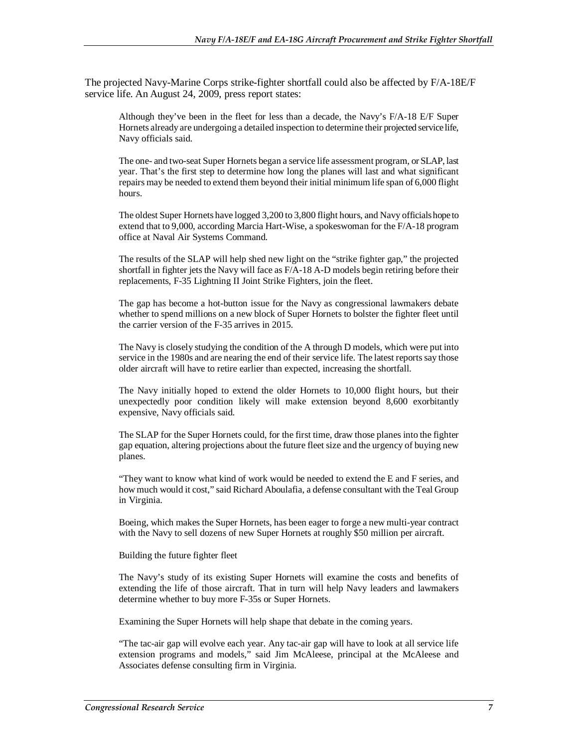The projected Navy-Marine Corps strike-fighter shortfall could also be affected by F/A-18E/F service life. An August 24, 2009, press report states:

Although they've been in the fleet for less than a decade, the Navy's F/A-18 E/F Super Hornets already are undergoing a detailed inspection to determine their projected service life, Navy officials said.

The one- and two-seat Super Hornets began a service life assessment program, or SLAP, last year. That's the first step to determine how long the planes will last and what significant repairs may be needed to extend them beyond their initial minimum life span of 6,000 flight hours.

The oldest Super Hornets have logged 3,200 to 3,800 flight hours, and Navy officials hope to extend that to 9,000, according Marcia Hart-Wise, a spokeswoman for the F/A-18 program office at Naval Air Systems Command.

The results of the SLAP will help shed new light on the "strike fighter gap," the projected shortfall in fighter jets the Navy will face as F/A-18 A-D models begin retiring before their replacements, F-35 Lightning II Joint Strike Fighters, join the fleet.

The gap has become a hot-button issue for the Navy as congressional lawmakers debate whether to spend millions on a new block of Super Hornets to bolster the fighter fleet until the carrier version of the F-35 arrives in 2015.

The Navy is closely studying the condition of the A through D models, which were put into service in the 1980s and are nearing the end of their service life. The latest reports say those older aircraft will have to retire earlier than expected, increasing the shortfall.

The Navy initially hoped to extend the older Hornets to 10,000 flight hours, but their unexpectedly poor condition likely will make extension beyond 8,600 exorbitantly expensive, Navy officials said.

The SLAP for the Super Hornets could, for the first time, draw those planes into the fighter gap equation, altering projections about the future fleet size and the urgency of buying new planes.

"They want to know what kind of work would be needed to extend the E and F series, and how much would it cost," said Richard Aboulafia, a defense consultant with the Teal Group in Virginia.

Boeing, which makes the Super Hornets, has been eager to forge a new multi-year contract with the Navy to sell dozens of new Super Hornets at roughly \$50 million per aircraft.

Building the future fighter fleet

The Navy's study of its existing Super Hornets will examine the costs and benefits of extending the life of those aircraft. That in turn will help Navy leaders and lawmakers determine whether to buy more F-35s or Super Hornets.

Examining the Super Hornets will help shape that debate in the coming years.

"The tac-air gap will evolve each year. Any tac-air gap will have to look at all service life extension programs and models," said Jim McAleese, principal at the McAleese and Associates defense consulting firm in Virginia.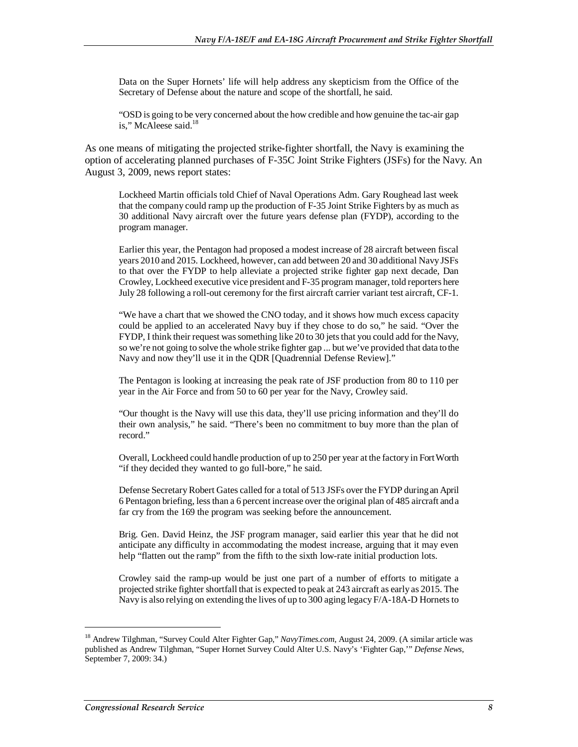Data on the Super Hornets' life will help address any skepticism from the Office of the Secretary of Defense about the nature and scope of the shortfall, he said.

"OSD is going to be very concerned about the how credible and how genuine the tac-air gap is," McAleese said.<sup>18</sup>

As one means of mitigating the projected strike-fighter shortfall, the Navy is examining the option of accelerating planned purchases of F-35C Joint Strike Fighters (JSFs) for the Navy. An August 3, 2009, news report states:

Lockheed Martin officials told Chief of Naval Operations Adm. Gary Roughead last week that the company could ramp up the production of F-35 Joint Strike Fighters by as much as 30 additional Navy aircraft over the future years defense plan (FYDP), according to the program manager.

Earlier this year, the Pentagon had proposed a modest increase of 28 aircraft between fiscal years 2010 and 2015. Lockheed, however, can add between 20 and 30 additional Navy JSFs to that over the FYDP to help alleviate a projected strike fighter gap next decade, Dan Crowley, Lockheed executive vice president and F-35 program manager, told reporters here July 28 following a roll-out ceremony for the first aircraft carrier variant test aircraft, CF-1.

"We have a chart that we showed the CNO today, and it shows how much excess capacity could be applied to an accelerated Navy buy if they chose to do so," he said. "Over the FYDP, I think their request was something like 20 to 30 jets that you could add for the Navy, so we're not going to solve the whole strike fighter gap ... but we've provided that data to the Navy and now they'll use it in the QDR [Quadrennial Defense Review]."

The Pentagon is looking at increasing the peak rate of JSF production from 80 to 110 per year in the Air Force and from 50 to 60 per year for the Navy, Crowley said.

"Our thought is the Navy will use this data, they'll use pricing information and they'll do their own analysis," he said. "There's been no commitment to buy more than the plan of record."

Overall, Lockheed could handle production of up to 250 per year at the factory in Fort Worth "if they decided they wanted to go full-bore," he said.

Defense Secretary Robert Gates called for a total of 513 JSFs over the FYDP during an April 6 Pentagon briefing, less than a 6 percent increase over the original plan of 485 aircraft and a far cry from the 169 the program was seeking before the announcement.

Brig. Gen. David Heinz, the JSF program manager, said earlier this year that he did not anticipate any difficulty in accommodating the modest increase, arguing that it may even help "flatten out the ramp" from the fifth to the sixth low-rate initial production lots.

Crowley said the ramp-up would be just one part of a number of efforts to mitigate a projected strike fighter shortfall that is expected to peak at 243 aircraft as early as 2015. The Navy is also relying on extending the lives of up to 300 aging legacy F/A-18A-D Hornets to

<sup>18</sup> Andrew Tilghman, "Survey Could Alter Fighter Gap," *NavyTimes.com*, August 24, 2009. (A similar article was published as Andrew Tilghman, "Super Hornet Survey Could Alter U.S. Navy's 'Fighter Gap,'" *Defense News*, September 7, 2009: 34.)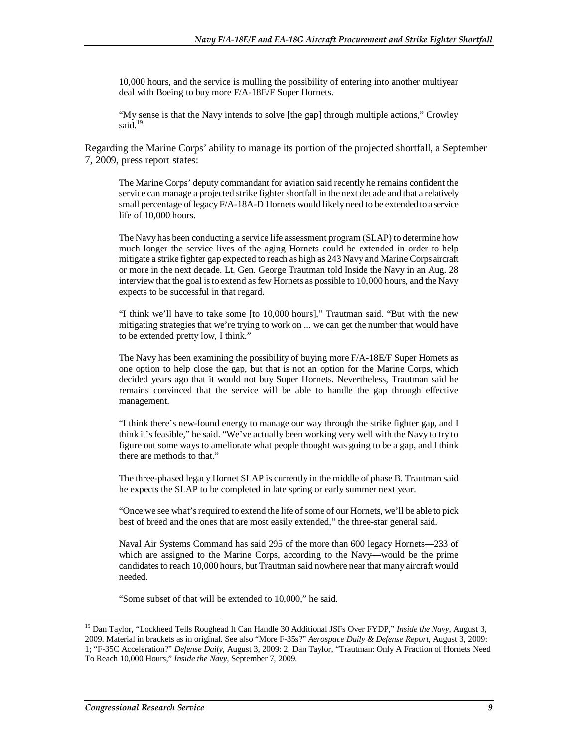10,000 hours, and the service is mulling the possibility of entering into another multiyear deal with Boeing to buy more F/A-18E/F Super Hornets.

"My sense is that the Navy intends to solve [the gap] through multiple actions," Crowley said.<sup>19</sup>

Regarding the Marine Corps' ability to manage its portion of the projected shortfall, a September 7, 2009, press report states:

The Marine Corps' deputy commandant for aviation said recently he remains confident the service can manage a projected strike fighter shortfall in the next decade and that a relatively small percentage of legacy F/A-18A-D Hornets would likely need to be extended to a service life of 10,000 hours.

The Navy has been conducting a service life assessment program (SLAP) to determine how much longer the service lives of the aging Hornets could be extended in order to help mitigate a strike fighter gap expected to reach as high as 243 Navy and Marine Corps aircraft or more in the next decade. Lt. Gen. George Trautman told Inside the Navy in an Aug. 28 interview that the goal is to extend as few Hornets as possible to 10,000 hours, and the Navy expects to be successful in that regard.

"I think we'll have to take some [to 10,000 hours]," Trautman said. "But with the new mitigating strategies that we're trying to work on ... we can get the number that would have to be extended pretty low, I think."

The Navy has been examining the possibility of buying more F/A-18E/F Super Hornets as one option to help close the gap, but that is not an option for the Marine Corps, which decided years ago that it would not buy Super Hornets. Nevertheless, Trautman said he remains convinced that the service will be able to handle the gap through effective management.

"I think there's new-found energy to manage our way through the strike fighter gap, and I think it's feasible," he said. "We've actually been working very well with the Navy to try to figure out some ways to ameliorate what people thought was going to be a gap, and I think there are methods to that."

The three-phased legacy Hornet SLAP is currently in the middle of phase B. Trautman said he expects the SLAP to be completed in late spring or early summer next year.

"Once we see what's required to extend the life of some of our Hornets, we'll be able to pick best of breed and the ones that are most easily extended," the three-star general said.

Naval Air Systems Command has said 295 of the more than 600 legacy Hornets—233 of which are assigned to the Marine Corps, according to the Navy—would be the prime candidates to reach 10,000 hours, but Trautman said nowhere near that many aircraft would needed.

"Some subset of that will be extended to 10,000," he said.

<sup>&</sup>lt;sup>19</sup> Dan Taylor, "Lockheed Tells Roughead It Can Handle 30 Additional JSFs Over FYDP," *Inside the Navy*, August 3, 2009. Material in brackets as in original. See also "More F-35s?" *Aerospace Daily & Defense Report*, August 3, 2009: 1; "F-35C Acceleration?" *Defense Daily*, August 3, 2009: 2; Dan Taylor, "Trautman: Only A Fraction of Hornets Need To Reach 10,000 Hours," *Inside the Navy*, September 7, 2009.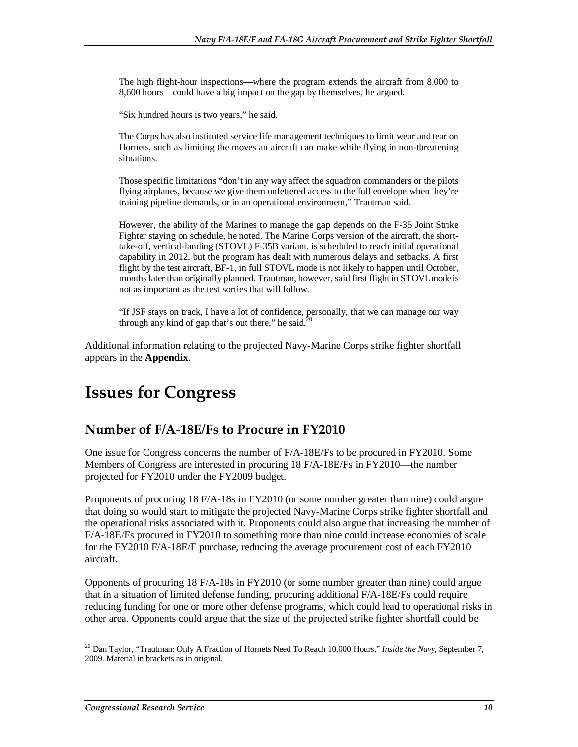The high flight-hour inspections—where the program extends the aircraft from 8,000 to 8,600 hours—could have a big impact on the gap by themselves, he argued.

"Six hundred hours is two years," he said.

The Corps has also instituted service life management techniques to limit wear and tear on Hornets, such as limiting the moves an aircraft can make while flying in non-threatening situations.

Those specific limitations "don't in any way affect the squadron commanders or the pilots flying airplanes, because we give them unfettered access to the full envelope when they're training pipeline demands, or in an operational environment," Trautman said.

However, the ability of the Marines to manage the gap depends on the F-35 Joint Strike Fighter staying on schedule, he noted. The Marine Corps version of the aircraft, the shorttake-off, vertical-landing (STOVL) F-35B variant, is scheduled to reach initial operational capability in 2012, but the program has dealt with numerous delays and setbacks. A first flight by the test aircraft, BF-1, in full STOVL mode is not likely to happen until October, months later than originally planned. Trautman, however, said first flight in STOVL mode is not as important as the test sorties that will follow.

"If JSF stays on track, I have a lot of confidence, personally, that we can manage our way through any kind of gap that's out there," he said. $20$ 

Additional information relating to the projected Navy-Marine Corps strike fighter shortfall appears in the **Appendix**.

# **Issues for Congress**

## **Number of F/A-18E/Fs to Procure in FY2010**

One issue for Congress concerns the number of F/A-18E/Fs to be procured in FY2010. Some Members of Congress are interested in procuring 18 F/A-18E/Fs in FY2010—the number projected for FY2010 under the FY2009 budget.

Proponents of procuring 18 F/A-18s in FY2010 (or some number greater than nine) could argue that doing so would start to mitigate the projected Navy-Marine Corps strike fighter shortfall and the operational risks associated with it. Proponents could also argue that increasing the number of F/A-18E/Fs procured in FY2010 to something more than nine could increase economies of scale for the FY2010 F/A-18E/F purchase, reducing the average procurement cost of each FY2010 aircraft.

Opponents of procuring 18 F/A-18s in FY2010 (or some number greater than nine) could argue that in a situation of limited defense funding, procuring additional F/A-18E/Fs could require reducing funding for one or more other defense programs, which could lead to operational risks in other area. Opponents could argue that the size of the projected strike fighter shortfall could be

<sup>&</sup>lt;sup>20</sup> Dan Taylor, "Trautman: Only A Fraction of Hornets Need To Reach 10,000 Hours," Inside the Navy, September 7, 2009. Material in brackets as in original.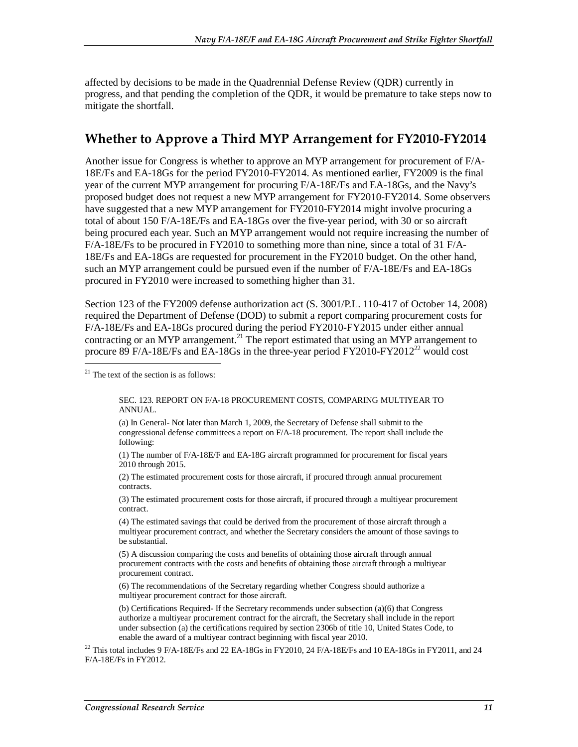affected by decisions to be made in the Quadrennial Defense Review (QDR) currently in progress, and that pending the completion of the QDR, it would be premature to take steps now to mitigate the shortfall.

# **Whether to Approve a Third MYP Arrangement for FY2010-FY2014**

Another issue for Congress is whether to approve an MYP arrangement for procurement of F/A-18E/Fs and EA-18Gs for the period FY2010-FY2014. As mentioned earlier, FY2009 is the final year of the current MYP arrangement for procuring F/A-18E/Fs and EA-18Gs, and the Navy's proposed budget does not request a new MYP arrangement for FY2010-FY2014. Some observers have suggested that a new MYP arrangement for FY2010-FY2014 might involve procuring a total of about 150 F/A-18E/Fs and EA-18Gs over the five-year period, with 30 or so aircraft being procured each year. Such an MYP arrangement would not require increasing the number of F/A-18E/Fs to be procured in FY2010 to something more than nine, since a total of 31 F/A-18E/Fs and EA-18Gs are requested for procurement in the FY2010 budget. On the other hand, such an MYP arrangement could be pursued even if the number of F/A-18E/Fs and EA-18Gs procured in FY2010 were increased to something higher than 31.

Section 123 of the FY2009 defense authorization act (S. 3001/P.L. 110-417 of October 14, 2008) required the Department of Defense (DOD) to submit a report comparing procurement costs for F/A-18E/Fs and EA-18Gs procured during the period FY2010-FY2015 under either annual contracting or an MYP arrangement.<sup>21</sup> The report estimated that using an MYP arrangement to procure 89 F/A-18E/Fs and EA-18Gs in the three-year period FY2010-FY2012<sup>22</sup> would cost

 $21$  The text of the section is as follows:

SEC. 123. REPORT ON F/A-18 PROCUREMENT COSTS, COMPARING MULTIYEAR TO ANNUAL.

(a) In General- Not later than March 1, 2009, the Secretary of Defense shall submit to the congressional defense committees a report on F/A-18 procurement. The report shall include the following:

(1) The number of F/A-18E/F and EA-18G aircraft programmed for procurement for fiscal years 2010 through 2015.

(2) The estimated procurement costs for those aircraft, if procured through annual procurement contracts.

(3) The estimated procurement costs for those aircraft, if procured through a multiyear procurement contract.

(4) The estimated savings that could be derived from the procurement of those aircraft through a multiyear procurement contract, and whether the Secretary considers the amount of those savings to be substantial.

(5) A discussion comparing the costs and benefits of obtaining those aircraft through annual procurement contracts with the costs and benefits of obtaining those aircraft through a multiyear procurement contract.

(6) The recommendations of the Secretary regarding whether Congress should authorize a multiyear procurement contract for those aircraft.

(b) Certifications Required- If the Secretary recommends under subsection (a)(6) that Congress authorize a multiyear procurement contract for the aircraft, the Secretary shall include in the report under subsection (a) the certifications required by section 2306b of title 10, United States Code, to enable the award of a multiyear contract beginning with fiscal year 2010.

<sup>22</sup> This total includes 9 F/A-18E/Fs and 22 EA-18Gs in FY2010, 24 F/A-18E/Fs and 10 EA-18Gs in FY2011, and 24 F/A-18E/Fs in FY2012.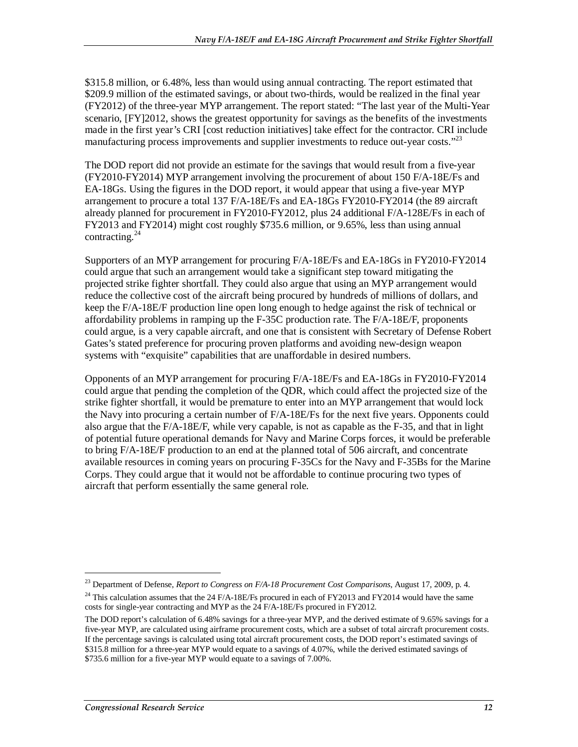\$315.8 million, or 6.48%, less than would using annual contracting. The report estimated that \$209.9 million of the estimated savings, or about two-thirds, would be realized in the final year (FY2012) of the three-year MYP arrangement. The report stated: "The last year of the Multi-Year scenario, [FY]2012, shows the greatest opportunity for savings as the benefits of the investments made in the first year's CRI [cost reduction initiatives] take effect for the contractor. CRI include manufacturing process improvements and supplier investments to reduce out-year costs."<sup>23</sup>

The DOD report did not provide an estimate for the savings that would result from a five-year (FY2010-FY2014) MYP arrangement involving the procurement of about 150 F/A-18E/Fs and EA-18Gs. Using the figures in the DOD report, it would appear that using a five-year MYP arrangement to procure a total 137 F/A-18E/Fs and EA-18Gs FY2010-FY2014 (the 89 aircraft already planned for procurement in FY2010-FY2012, plus 24 additional F/A-128E/Fs in each of FY2013 and FY2014) might cost roughly \$735.6 million, or 9.65%, less than using annual contracting. $^{24}$ 

Supporters of an MYP arrangement for procuring F/A-18E/Fs and EA-18Gs in FY2010-FY2014 could argue that such an arrangement would take a significant step toward mitigating the projected strike fighter shortfall. They could also argue that using an MYP arrangement would reduce the collective cost of the aircraft being procured by hundreds of millions of dollars, and keep the F/A-18E/F production line open long enough to hedge against the risk of technical or affordability problems in ramping up the F-35C production rate. The F/A-18E/F, proponents could argue, is a very capable aircraft, and one that is consistent with Secretary of Defense Robert Gates's stated preference for procuring proven platforms and avoiding new-design weapon systems with "exquisite" capabilities that are unaffordable in desired numbers.

Opponents of an MYP arrangement for procuring F/A-18E/Fs and EA-18Gs in FY2010-FY2014 could argue that pending the completion of the QDR, which could affect the projected size of the strike fighter shortfall, it would be premature to enter into an MYP arrangement that would lock the Navy into procuring a certain number of F/A-18E/Fs for the next five years. Opponents could also argue that the F/A-18E/F, while very capable, is not as capable as the F-35, and that in light of potential future operational demands for Navy and Marine Corps forces, it would be preferable to bring F/A-18E/F production to an end at the planned total of 506 aircraft, and concentrate available resources in coming years on procuring F-35Cs for the Navy and F-35Bs for the Marine Corps. They could argue that it would not be affordable to continue procuring two types of aircraft that perform essentially the same general role.

<sup>23</sup> Department of Defense, *Report to Congress on F/A-18 Procurement Cost Comparisons*, August 17, 2009, p. 4.

<sup>&</sup>lt;sup>24</sup> This calculation assumes that the 24 F/A-18E/Fs procured in each of FY2013 and FY2014 would have the same costs for single-year contracting and MYP as the 24 F/A-18E/Fs procured in FY2012.

The DOD report's calculation of 6.48% savings for a three-year MYP, and the derived estimate of 9.65% savings for a five-year MYP, are calculated using airframe procurement costs, which are a subset of total aircraft procurement costs. If the percentage savings is calculated using total aircraft procurement costs, the DOD report's estimated savings of \$315.8 million for a three-year MYP would equate to a savings of 4.07%, while the derived estimated savings of \$735.6 million for a five-year MYP would equate to a savings of 7.00%.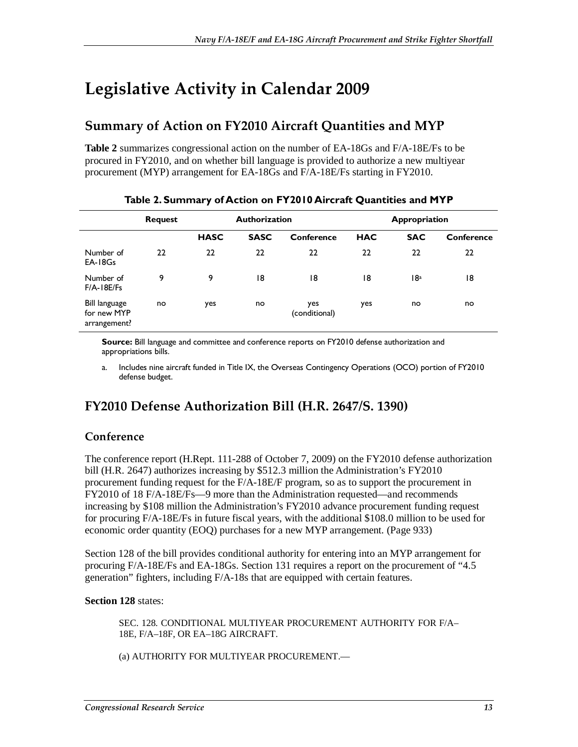# **Legislative Activity in Calendar 2009**

# **Summary of Action on FY2010 Aircraft Quantities and MYP**

**Table 2** summarizes congressional action on the number of EA-18Gs and F/A-18E/Fs to be procured in FY2010, and on whether bill language is provided to authorize a new multiyear procurement (MYP) arrangement for EA-18Gs and F/A-18E/Fs starting in FY2010.

|                                              | <b>Request</b> | <b>Authorization</b> |             |                      | Appropriation |            |            |
|----------------------------------------------|----------------|----------------------|-------------|----------------------|---------------|------------|------------|
|                                              |                | <b>HASC</b>          | <b>SASC</b> | Conference           | <b>HAC</b>    | <b>SAC</b> | Conference |
| Number of<br>EA-18Gs                         | 22             | 22                   | 22          | 22                   | 22            | 22         | 22         |
| Number of<br>$F/A - 18E/Fs$                  | 9              | 9                    | 18          | 18                   | 18            | 18ª        | 18         |
| Bill language<br>for new MYP<br>arrangement? | no             | yes                  | no          | yes<br>(conditional) | yes           | no         | no         |

### **Table 2. Summary of Action on FY2010 Aircraft Quantities and MYP**

**Source:** Bill language and committee and conference reports on FY2010 defense authorization and appropriations bills.

a. Includes nine aircraft funded in Title IX, the Overseas Contingency Operations (OCO) portion of FY2010 defense budget.

# **FY2010 Defense Authorization Bill (H.R. 2647/S. 1390)**

## **Conference**

The conference report (H.Rept. 111-288 of October 7, 2009) on the FY2010 defense authorization bill (H.R. 2647) authorizes increasing by \$512.3 million the Administration's FY2010 procurement funding request for the F/A-18E/F program, so as to support the procurement in FY2010 of 18 F/A-18E/Fs—9 more than the Administration requested—and recommends increasing by \$108 million the Administration's FY2010 advance procurement funding request for procuring F/A-18E/Fs in future fiscal years, with the additional \$108.0 million to be used for economic order quantity (EOQ) purchases for a new MYP arrangement. (Page 933)

Section 128 of the bill provides conditional authority for entering into an MYP arrangement for procuring F/A-18E/Fs and EA-18Gs. Section 131 requires a report on the procurement of "4.5 generation" fighters, including F/A-18s that are equipped with certain features.

### **Section 128** states:

SEC. 128. CONDITIONAL MULTIYEAR PROCUREMENT AUTHORITY FOR F/A– 18E, F/A–18F, OR EA–18G AIRCRAFT.

(a) AUTHORITY FOR MULTIYEAR PROCUREMENT.—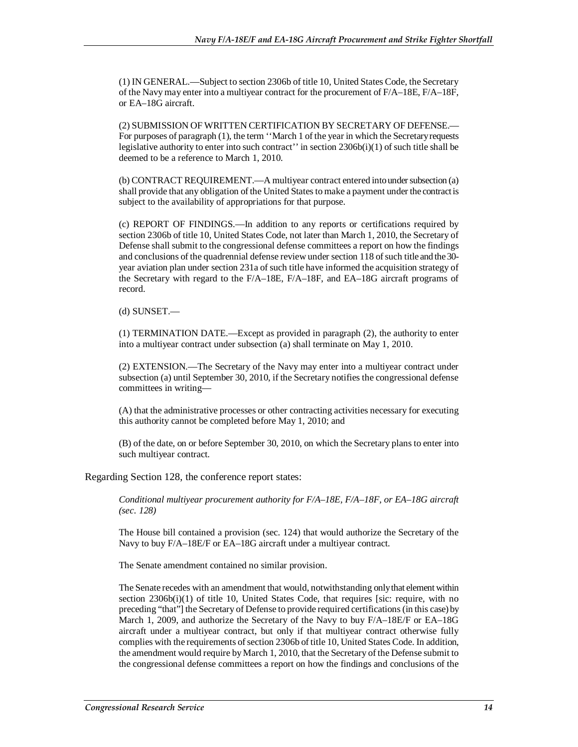(1) IN GENERAL.—Subject to section 2306b of title 10, United States Code, the Secretary of the Navy may enter into a multiyear contract for the procurement of F/A–18E, F/A–18F, or EA–18G aircraft.

(2) SUBMISSION OF WRITTEN CERTIFICATION BY SECRETARY OF DEFENSE.— For purposes of paragraph (1), the term ''March 1 of the year in which the Secretary requests legislative authority to enter into such contract'' in section 2306b(i)(1) of such title shall be deemed to be a reference to March 1, 2010.

(b) CONTRACT REQUIREMENT.—A multiyear contract entered into under subsection (a) shall provide that any obligation of the United States to make a payment under the contract is subject to the availability of appropriations for that purpose.

(c) REPORT OF FINDINGS.—In addition to any reports or certifications required by section 2306b of title 10, United States Code, not later than March 1, 2010, the Secretary of Defense shall submit to the congressional defense committees a report on how the findings and conclusions of the quadrennial defense review under section 118 of such title and the 30 year aviation plan under section 231a of such title have informed the acquisition strategy of the Secretary with regard to the F/A–18E, F/A–18F, and EA–18G aircraft programs of record.

#### (d) SUNSET.—

(1) TERMINATION DATE.—Except as provided in paragraph (2), the authority to enter into a multiyear contract under subsection (a) shall terminate on May 1, 2010.

(2) EXTENSION.—The Secretary of the Navy may enter into a multiyear contract under subsection (a) until September 30, 2010, if the Secretary notifies the congressional defense committees in writing—

(A) that the administrative processes or other contracting activities necessary for executing this authority cannot be completed before May 1, 2010; and

(B) of the date, on or before September 30, 2010, on which the Secretary plans to enter into such multiyear contract.

Regarding Section 128, the conference report states:

*Conditional multiyear procurement authority for F/A–18E, F/A–18F, or EA–18G aircraft (sec. 128)* 

The House bill contained a provision (sec. 124) that would authorize the Secretary of the Navy to buy F/A–18E/F or EA–18G aircraft under a multiyear contract.

The Senate amendment contained no similar provision.

The Senate recedes with an amendment that would, notwithstanding only that element within section  $2306b(i)(1)$  of title 10, United States Code, that requires [sic: require, with no preceding "that"] the Secretary of Defense to provide required certifications (in this case) by March 1, 2009, and authorize the Secretary of the Navy to buy F/A–18E/F or EA–18G aircraft under a multiyear contract, but only if that multiyear contract otherwise fully complies with the requirements of section 2306b of title 10, United States Code. In addition, the amendment would require by March 1, 2010, that the Secretary of the Defense submit to the congressional defense committees a report on how the findings and conclusions of the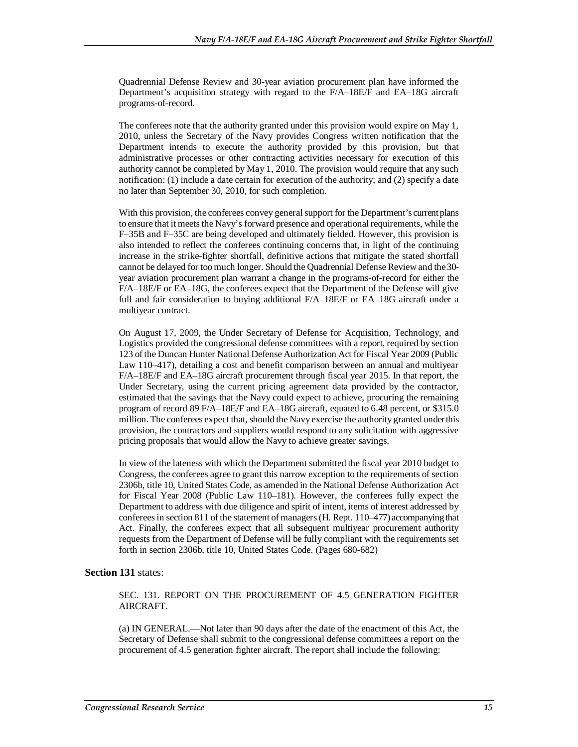Quadrennial Defense Review and 30-year aviation procurement plan have informed the Department's acquisition strategy with regard to the F/A–18E/F and EA–18G aircraft programs-of-record.

The conferees note that the authority granted under this provision would expire on May 1, 2010, unless the Secretary of the Navy provides Congress written notification that the Department intends to execute the authority provided by this provision, but that administrative processes or other contracting activities necessary for execution of this authority cannot be completed by May 1, 2010. The provision would require that any such notification: (1) include a date certain for execution of the authority; and (2) specify a date no later than September 30, 2010, for such completion.

With this provision, the conferees convey general support for the Department's current plans to ensure that it meets the Navy's forward presence and operational requirements, while the F–35B and F–35C are being developed and ultimately fielded. However, this provision is also intended to reflect the conferees continuing concerns that, in light of the continuing increase in the strike-fighter shortfall, definitive actions that mitigate the stated shortfall cannot be delayed for too much longer. Should the Quadrennial Defense Review and the 30 year aviation procurement plan warrant a change in the programs-of-record for either the F/A–18E/F or EA–18G, the conferees expect that the Department of the Defense will give full and fair consideration to buying additional F/A–18E/F or EA–18G aircraft under a multiyear contract.

On August 17, 2009, the Under Secretary of Defense for Acquisition, Technology, and Logistics provided the congressional defense committees with a report, required by section 123 of the Duncan Hunter National Defense Authorization Act for Fiscal Year 2009 (Public Law 110–417), detailing a cost and benefit comparison between an annual and multiyear F/A–18E/F and EA–18G aircraft procurement through fiscal year 2015. In that report, the Under Secretary, using the current pricing agreement data provided by the contractor, estimated that the savings that the Navy could expect to achieve, procuring the remaining program of record 89 F/A–18E/F and EA–18G aircraft, equated to 6.48 percent, or \$315.0 million. The conferees expect that, should the Navy exercise the authority granted under this provision, the contractors and suppliers would respond to any solicitation with aggressive pricing proposals that would allow the Navy to achieve greater savings.

In view of the lateness with which the Department submitted the fiscal year 2010 budget to Congress, the conferees agree to grant this narrow exception to the requirements of section 2306b, title 10, United States Code, as amended in the National Defense Authorization Act for Fiscal Year 2008 (Public Law 110–181). However, the conferees fully expect the Department to address with due diligence and spirit of intent, items of interest addressed by conferees in section 811 of the statement of managers (H. Rept. 110–477) accompanying that Act. Finally, the conferees expect that all subsequent multiyear procurement authority requests from the Department of Defense will be fully compliant with the requirements set forth in section 2306b, title 10, United States Code. (Pages 680-682)

#### **Section 131** states:

SEC. 131. REPORT ON THE PROCUREMENT OF 4.5 GENERATION FIGHTER AIRCRAFT.

(a) IN GENERAL.—Not later than 90 days after the date of the enactment of this Act, the Secretary of Defense shall submit to the congressional defense committees a report on the procurement of 4.5 generation fighter aircraft. The report shall include the following: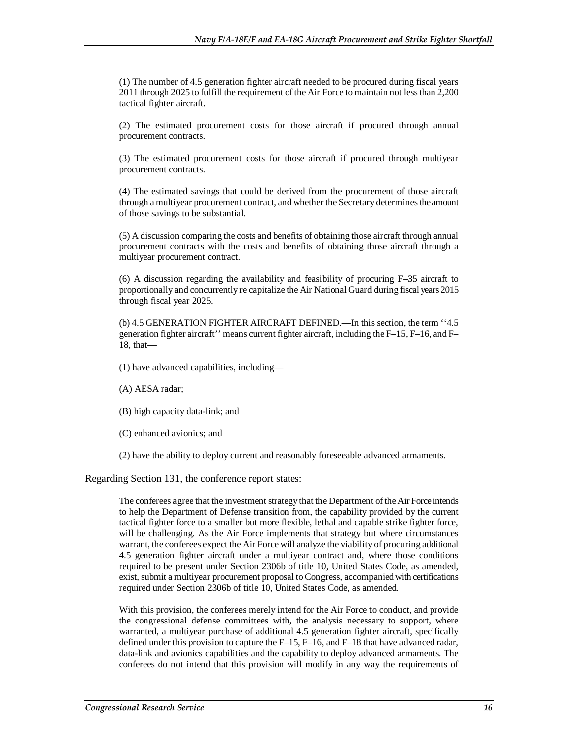(1) The number of 4.5 generation fighter aircraft needed to be procured during fiscal years 2011 through 2025 to fulfill the requirement of the Air Force to maintain not less than 2,200 tactical fighter aircraft.

(2) The estimated procurement costs for those aircraft if procured through annual procurement contracts.

(3) The estimated procurement costs for those aircraft if procured through multiyear procurement contracts.

(4) The estimated savings that could be derived from the procurement of those aircraft through a multiyear procurement contract, and whether the Secretary determines the amount of those savings to be substantial.

(5) A discussion comparing the costs and benefits of obtaining those aircraft through annual procurement contracts with the costs and benefits of obtaining those aircraft through a multiyear procurement contract.

(6) A discussion regarding the availability and feasibility of procuring  $F=35$  aircraft to proportionally and concurrently re capitalize the Air National Guard during fiscal years 2015 through fiscal year 2025.

(b) 4.5 GENERATION FIGHTER AIRCRAFT DEFINED.—In this section, the term ''4.5 generation fighter aircraft'' means current fighter aircraft, including the F–15, F–16, and F– 18, that—

- (1) have advanced capabilities, including—
- (A) AESA radar;
- (B) high capacity data-link; and
- (C) enhanced avionics; and
- (2) have the ability to deploy current and reasonably foreseeable advanced armaments.

Regarding Section 131, the conference report states:

The conferees agree that the investment strategy that the Department of the Air Force intends to help the Department of Defense transition from, the capability provided by the current tactical fighter force to a smaller but more flexible, lethal and capable strike fighter force, will be challenging. As the Air Force implements that strategy but where circumstances warrant, the conferees expect the Air Force will analyze the viability of procuring additional 4.5 generation fighter aircraft under a multiyear contract and, where those conditions required to be present under Section 2306b of title 10, United States Code, as amended, exist, submit a multiyear procurement proposal to Congress, accompanied with certifications required under Section 2306b of title 10, United States Code, as amended.

With this provision, the conferees merely intend for the Air Force to conduct, and provide the congressional defense committees with, the analysis necessary to support, where warranted, a multiyear purchase of additional 4.5 generation fighter aircraft, specifically defined under this provision to capture the F–15, F–16, and F–18 that have advanced radar, data-link and avionics capabilities and the capability to deploy advanced armaments. The conferees do not intend that this provision will modify in any way the requirements of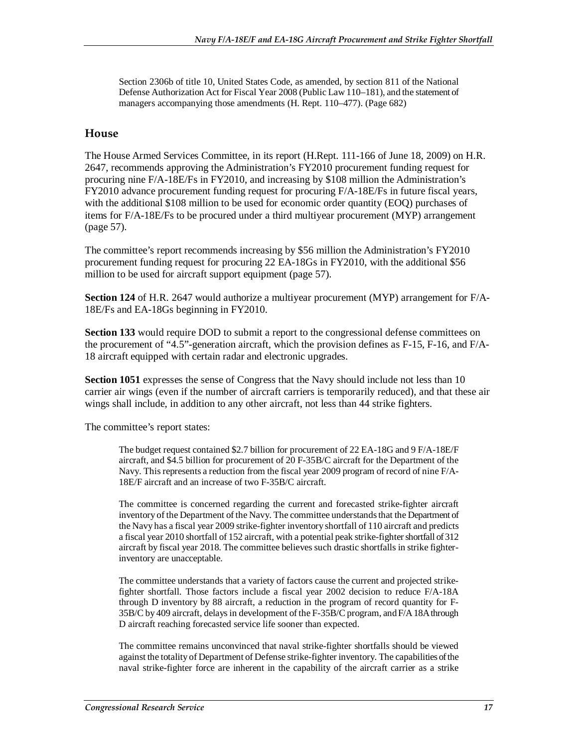Section 2306b of title 10, United States Code, as amended, by section 811 of the National Defense Authorization Act for Fiscal Year 2008 (Public Law 110–181), and the statement of managers accompanying those amendments (H. Rept. 110–477). (Page 682)

### **House**

The House Armed Services Committee, in its report (H.Rept. 111-166 of June 18, 2009) on H.R. 2647, recommends approving the Administration's FY2010 procurement funding request for procuring nine F/A-18E/Fs in FY2010, and increasing by \$108 million the Administration's FY2010 advance procurement funding request for procuring F/A-18E/Fs in future fiscal years, with the additional \$108 million to be used for economic order quantity (EOQ) purchases of items for F/A-18E/Fs to be procured under a third multiyear procurement (MYP) arrangement (page 57).

The committee's report recommends increasing by \$56 million the Administration's FY2010 procurement funding request for procuring 22 EA-18Gs in FY2010, with the additional \$56 million to be used for aircraft support equipment (page 57).

**Section 124** of H.R. 2647 would authorize a multiyear procurement (MYP) arrangement for F/A-18E/Fs and EA-18Gs beginning in FY2010.

**Section 133** would require DOD to submit a report to the congressional defense committees on the procurement of "4.5"-generation aircraft, which the provision defines as F-15, F-16, and F/A-18 aircraft equipped with certain radar and electronic upgrades.

**Section 1051** expresses the sense of Congress that the Navy should include not less than 10 carrier air wings (even if the number of aircraft carriers is temporarily reduced), and that these air wings shall include, in addition to any other aircraft, not less than 44 strike fighters.

The committee's report states:

The budget request contained \$2.7 billion for procurement of 22 EA-18G and 9 F/A-18E/F aircraft, and \$4.5 billion for procurement of 20 F-35B/C aircraft for the Department of the Navy. This represents a reduction from the fiscal year 2009 program of record of nine F/A-18E/F aircraft and an increase of two F-35B/C aircraft.

The committee is concerned regarding the current and forecasted strike-fighter aircraft inventory of the Department of the Navy. The committee understands that the Department of the Navy has a fiscal year 2009 strike-fighter inventory shortfall of 110 aircraft and predicts a fiscal year 2010 shortfall of 152 aircraft, with a potential peak strike-fighter shortfall of 312 aircraft by fiscal year 2018. The committee believes such drastic shortfalls in strike fighterinventory are unacceptable.

The committee understands that a variety of factors cause the current and projected strikefighter shortfall. Those factors include a fiscal year 2002 decision to reduce F/A-18A through D inventory by 88 aircraft, a reduction in the program of record quantity for F-35B/C by 409 aircraft, delays in development of the F-35B/C program, and F/A 18A through D aircraft reaching forecasted service life sooner than expected.

The committee remains unconvinced that naval strike-fighter shortfalls should be viewed against the totality of Department of Defense strike-fighter inventory. The capabilities of the naval strike-fighter force are inherent in the capability of the aircraft carrier as a strike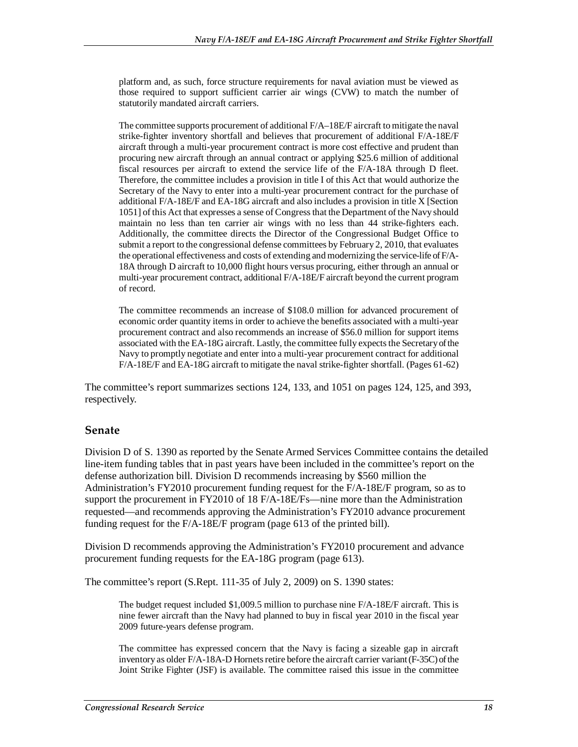platform and, as such, force structure requirements for naval aviation must be viewed as those required to support sufficient carrier air wings (CVW) to match the number of statutorily mandated aircraft carriers.

The committee supports procurement of additional F/A–18E/F aircraft to mitigate the naval strike-fighter inventory shortfall and believes that procurement of additional F/A-18E/F aircraft through a multi-year procurement contract is more cost effective and prudent than procuring new aircraft through an annual contract or applying \$25.6 million of additional fiscal resources per aircraft to extend the service life of the F/A-18A through D fleet. Therefore, the committee includes a provision in title I of this Act that would authorize the Secretary of the Navy to enter into a multi-year procurement contract for the purchase of additional F/A-18E/F and EA-18G aircraft and also includes a provision in title X [Section 1051] of this Act that expresses a sense of Congress that the Department of the Navy should maintain no less than ten carrier air wings with no less than 44 strike-fighters each. Additionally, the committee directs the Director of the Congressional Budget Office to submit a report to the congressional defense committees by February 2, 2010, that evaluates the operational effectiveness and costs of extending and modernizing the service-life of F/A-18A through D aircraft to 10,000 flight hours versus procuring, either through an annual or multi-year procurement contract, additional F/A-18E/F aircraft beyond the current program of record.

The committee recommends an increase of \$108.0 million for advanced procurement of economic order quantity items in order to achieve the benefits associated with a multi-year procurement contract and also recommends an increase of \$56.0 million for support items associated with the EA-18G aircraft. Lastly, the committee fully expects the Secretary of the Navy to promptly negotiate and enter into a multi-year procurement contract for additional F/A-18E/F and EA-18G aircraft to mitigate the naval strike-fighter shortfall. (Pages 61-62)

The committee's report summarizes sections 124, 133, and 1051 on pages 124, 125, and 393, respectively.

## **Senate**

Division D of S. 1390 as reported by the Senate Armed Services Committee contains the detailed line-item funding tables that in past years have been included in the committee's report on the defense authorization bill. Division D recommends increasing by \$560 million the Administration's FY2010 procurement funding request for the F/A-18E/F program, so as to support the procurement in FY2010 of 18 F/A-18E/Fs—nine more than the Administration requested—and recommends approving the Administration's FY2010 advance procurement funding request for the F/A-18E/F program (page 613 of the printed bill).

Division D recommends approving the Administration's FY2010 procurement and advance procurement funding requests for the EA-18G program (page 613).

The committee's report (S.Rept. 111-35 of July 2, 2009) on S. 1390 states:

The budget request included \$1,009.5 million to purchase nine F/A-18E/F aircraft. This is nine fewer aircraft than the Navy had planned to buy in fiscal year 2010 in the fiscal year 2009 future-years defense program.

The committee has expressed concern that the Navy is facing a sizeable gap in aircraft inventory as older F/A-18A-D Hornets retire before the aircraft carrier variant (F-35C) of the Joint Strike Fighter (JSF) is available. The committee raised this issue in the committee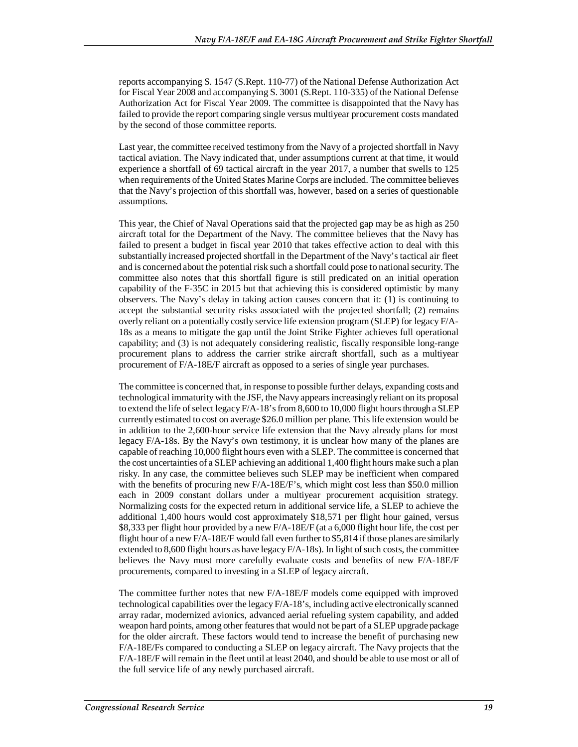reports accompanying S. 1547 (S.Rept. 110-77) of the National Defense Authorization Act for Fiscal Year 2008 and accompanying S. 3001 (S.Rept. 110-335) of the National Defense Authorization Act for Fiscal Year 2009. The committee is disappointed that the Navy has failed to provide the report comparing single versus multiyear procurement costs mandated by the second of those committee reports.

Last year, the committee received testimony from the Navy of a projected shortfall in Navy tactical aviation. The Navy indicated that, under assumptions current at that time, it would experience a shortfall of 69 tactical aircraft in the year 2017, a number that swells to 125 when requirements of the United States Marine Corps are included. The committee believes that the Navy's projection of this shortfall was, however, based on a series of questionable assumptions.

This year, the Chief of Naval Operations said that the projected gap may be as high as 250 aircraft total for the Department of the Navy. The committee believes that the Navy has failed to present a budget in fiscal year 2010 that takes effective action to deal with this substantially increased projected shortfall in the Department of the Navy's tactical air fleet and is concerned about the potential risk such a shortfall could pose to national security. The committee also notes that this shortfall figure is still predicated on an initial operation capability of the F-35C in 2015 but that achieving this is considered optimistic by many observers. The Navy's delay in taking action causes concern that it: (1) is continuing to accept the substantial security risks associated with the projected shortfall; (2) remains overly reliant on a potentially costly service life extension program (SLEP) for legacy F/A-18s as a means to mitigate the gap until the Joint Strike Fighter achieves full operational capability; and (3) is not adequately considering realistic, fiscally responsible long-range procurement plans to address the carrier strike aircraft shortfall, such as a multiyear procurement of F/A-18E/F aircraft as opposed to a series of single year purchases.

The committee is concerned that, in response to possible further delays, expanding costs and technological immaturity with the JSF, the Navy appears increasingly reliant on its proposal to extend the life of select legacy F/A-18's from 8,600 to 10,000 flight hours through a SLEP currently estimated to cost on average \$26.0 million per plane. This life extension would be in addition to the 2,600-hour service life extension that the Navy already plans for most legacy F/A-18s. By the Navy's own testimony, it is unclear how many of the planes are capable of reaching 10,000 flight hours even with a SLEP. The committee is concerned that the cost uncertainties of a SLEP achieving an additional 1,400 flight hours make such a plan risky. In any case, the committee believes such SLEP may be inefficient when compared with the benefits of procuring new  $F/A-18E/F$ 's, which might cost less than \$50.0 million each in 2009 constant dollars under a multiyear procurement acquisition strategy. Normalizing costs for the expected return in additional service life, a SLEP to achieve the additional 1,400 hours would cost approximately \$18,571 per flight hour gained, versus \$8,333 per flight hour provided by a new F/A-18E/F (at a 6,000 flight hour life, the cost per flight hour of a new F/A-18E/F would fall even further to \$5,814 if those planes are similarly extended to 8,600 flight hours as have legacy F/A-18s). In light of such costs, the committee believes the Navy must more carefully evaluate costs and benefits of new F/A-18E/F procurements, compared to investing in a SLEP of legacy aircraft.

The committee further notes that new F/A-18E/F models come equipped with improved technological capabilities over the legacy F/A-18's, including active electronically scanned array radar, modernized avionics, advanced aerial refueling system capability, and added weapon hard points, among other features that would not be part of a SLEP upgrade package for the older aircraft. These factors would tend to increase the benefit of purchasing new F/A-18E/Fs compared to conducting a SLEP on legacy aircraft. The Navy projects that the F/A-18E/F will remain in the fleet until at least 2040, and should be able to use most or all of the full service life of any newly purchased aircraft.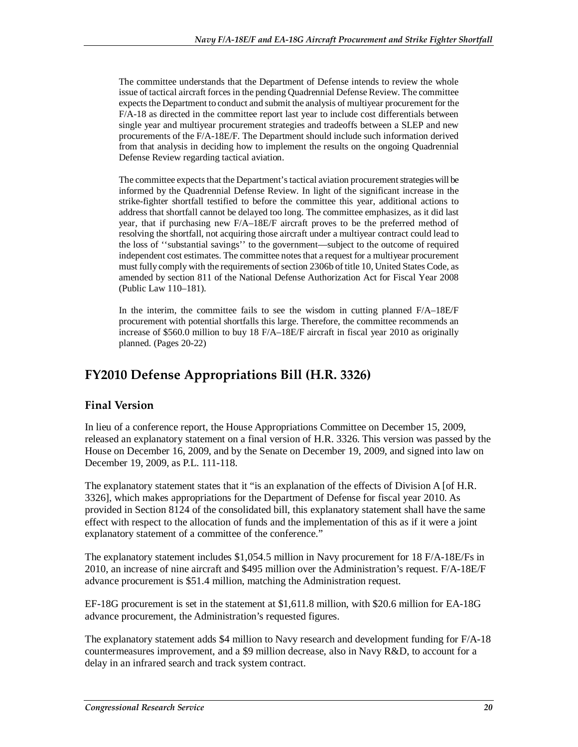The committee understands that the Department of Defense intends to review the whole issue of tactical aircraft forces in the pending Quadrennial Defense Review. The committee expects the Department to conduct and submit the analysis of multiyear procurement for the F/A-18 as directed in the committee report last year to include cost differentials between single year and multiyear procurement strategies and tradeoffs between a SLEP and new procurements of the F/A-18E/F. The Department should include such information derived from that analysis in deciding how to implement the results on the ongoing Quadrennial Defense Review regarding tactical aviation.

The committee expects that the Department's tactical aviation procurement strategies will be informed by the Quadrennial Defense Review. In light of the significant increase in the strike-fighter shortfall testified to before the committee this year, additional actions to address that shortfall cannot be delayed too long. The committee emphasizes, as it did last year, that if purchasing new F/A–18E/F aircraft proves to be the preferred method of resolving the shortfall, not acquiring those aircraft under a multiyear contract could lead to the loss of ''substantial savings'' to the government—subject to the outcome of required independent cost estimates. The committee notes that a request for a multiyear procurement must fully comply with the requirements of section 2306b of title 10, United States Code, as amended by section 811 of the National Defense Authorization Act for Fiscal Year 2008 (Public Law 110–181).

In the interim, the committee fails to see the wisdom in cutting planned F/A–18E/F procurement with potential shortfalls this large. Therefore, the committee recommends an increase of \$560.0 million to buy 18 F/A–18E/F aircraft in fiscal year 2010 as originally planned. (Pages 20-22)

# **FY2010 Defense Appropriations Bill (H.R. 3326)**

## **Final Version**

In lieu of a conference report, the House Appropriations Committee on December 15, 2009, released an explanatory statement on a final version of H.R. 3326. This version was passed by the House on December 16, 2009, and by the Senate on December 19, 2009, and signed into law on December 19, 2009, as P.L. 111-118.

The explanatory statement states that it "is an explanation of the effects of Division A [of H.R. 3326], which makes appropriations for the Department of Defense for fiscal year 2010. As provided in Section 8124 of the consolidated bill, this explanatory statement shall have the same effect with respect to the allocation of funds and the implementation of this as if it were a joint explanatory statement of a committee of the conference."

The explanatory statement includes \$1,054.5 million in Navy procurement for 18 F/A-18E/Fs in 2010, an increase of nine aircraft and \$495 million over the Administration's request. F/A-18E/F advance procurement is \$51.4 million, matching the Administration request.

EF-18G procurement is set in the statement at \$1,611.8 million, with \$20.6 million for EA-18G advance procurement, the Administration's requested figures.

The explanatory statement adds \$4 million to Navy research and development funding for F/A-18 countermeasures improvement, and a \$9 million decrease, also in Navy R&D, to account for a delay in an infrared search and track system contract.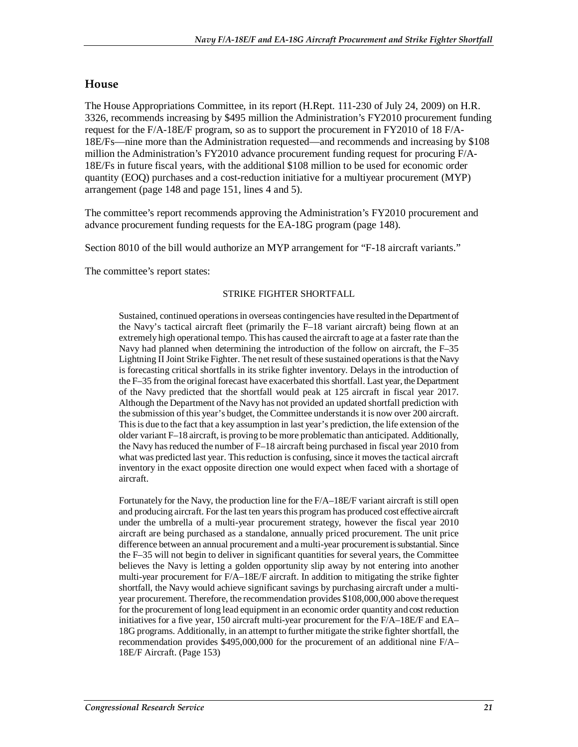## **House**

The House Appropriations Committee, in its report (H.Rept. 111-230 of July 24, 2009) on H.R. 3326, recommends increasing by \$495 million the Administration's FY2010 procurement funding request for the F/A-18E/F program, so as to support the procurement in FY2010 of 18 F/A-18E/Fs—nine more than the Administration requested—and recommends and increasing by \$108 million the Administration's FY2010 advance procurement funding request for procuring F/A-18E/Fs in future fiscal years, with the additional \$108 million to be used for economic order quantity (EOQ) purchases and a cost-reduction initiative for a multiyear procurement (MYP) arrangement (page 148 and page 151, lines 4 and 5).

The committee's report recommends approving the Administration's FY2010 procurement and advance procurement funding requests for the EA-18G program (page 148).

Section 8010 of the bill would authorize an MYP arrangement for "F-18 aircraft variants."

The committee's report states:

### STRIKE FIGHTER SHORTFALL

Sustained, continued operations in overseas contingencies have resulted in the Department of the Navy's tactical aircraft fleet (primarily the F–18 variant aircraft) being flown at an extremely high operational tempo. This has caused the aircraft to age at a faster rate than the Navy had planned when determining the introduction of the follow on aircraft, the F–35 Lightning II Joint Strike Fighter. The net result of these sustained operations is that the Navy is forecasting critical shortfalls in its strike fighter inventory. Delays in the introduction of the F–35 from the original forecast have exacerbated this shortfall. Last year, the Department of the Navy predicted that the shortfall would peak at 125 aircraft in fiscal year 2017. Although the Department of the Navy has not provided an updated shortfall prediction with the submission of this year's budget, the Committee understands it is now over 200 aircraft. This is due to the fact that a key assumption in last year's prediction, the life extension of the older variant F–18 aircraft, is proving to be more problematic than anticipated. Additionally, the Navy has reduced the number of F–18 aircraft being purchased in fiscal year 2010 from what was predicted last year. This reduction is confusing, since it moves the tactical aircraft inventory in the exact opposite direction one would expect when faced with a shortage of aircraft.

Fortunately for the Navy, the production line for the F/A–18E/F variant aircraft is still open and producing aircraft. For the last ten years this program has produced cost effective aircraft under the umbrella of a multi-year procurement strategy, however the fiscal year 2010 aircraft are being purchased as a standalone, annually priced procurement. The unit price difference between an annual procurement and a multi-year procurement is substantial. Since the F–35 will not begin to deliver in significant quantities for several years, the Committee believes the Navy is letting a golden opportunity slip away by not entering into another multi-year procurement for F/A–18E/F aircraft. In addition to mitigating the strike fighter shortfall, the Navy would achieve significant savings by purchasing aircraft under a multiyear procurement. Therefore, the recommendation provides \$108,000,000 above the request for the procurement of long lead equipment in an economic order quantity and cost reduction initiatives for a five year, 150 aircraft multi-year procurement for the F/A–18E/F and EA– 18G programs. Additionally, in an attempt to further mitigate the strike fighter shortfall, the recommendation provides \$495,000,000 for the procurement of an additional nine F/A– 18E/F Aircraft. (Page 153)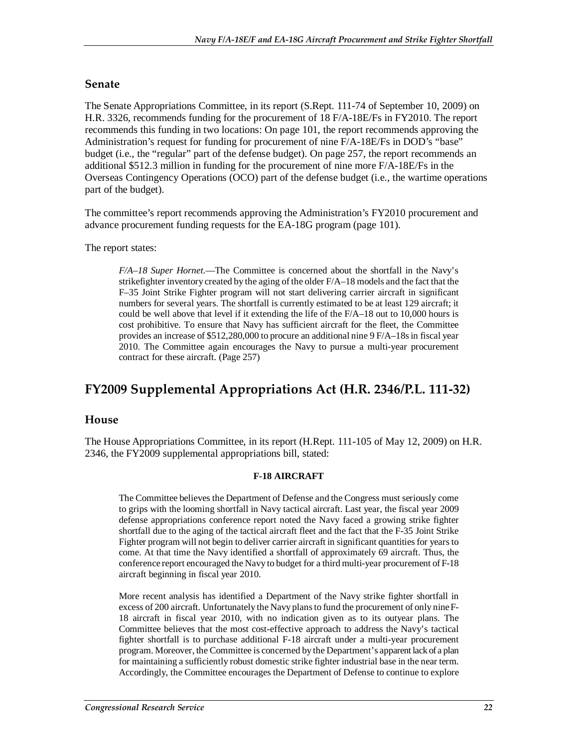## **Senate**

The Senate Appropriations Committee, in its report (S.Rept. 111-74 of September 10, 2009) on H.R. 3326, recommends funding for the procurement of 18 F/A-18E/Fs in FY2010. The report recommends this funding in two locations: On page 101, the report recommends approving the Administration's request for funding for procurement of nine F/A-18E/Fs in DOD's "base" budget (i.e., the "regular" part of the defense budget). On page 257, the report recommends an additional \$512.3 million in funding for the procurement of nine more F/A-18E/Fs in the Overseas Contingency Operations (OCO) part of the defense budget (i.e., the wartime operations part of the budget).

The committee's report recommends approving the Administration's FY2010 procurement and advance procurement funding requests for the EA-18G program (page 101).

### The report states:

*F/A–18 Super Hornet*.—The Committee is concerned about the shortfall in the Navy's strikefighter inventory created by the aging of the older F/A–18 models and the fact that the F–35 Joint Strike Fighter program will not start delivering carrier aircraft in significant numbers for several years. The shortfall is currently estimated to be at least 129 aircraft; it could be well above that level if it extending the life of the F/A–18 out to 10,000 hours is cost prohibitive. To ensure that Navy has sufficient aircraft for the fleet, the Committee provides an increase of \$512,280,000 to procure an additional nine 9 F/A–18s in fiscal year 2010. The Committee again encourages the Navy to pursue a multi-year procurement contract for these aircraft. (Page 257)

## **FY2009 Supplemental Appropriations Act (H.R. 2346/P.L. 111-32)**

## **House**

The House Appropriations Committee, in its report (H.Rept. 111-105 of May 12, 2009) on H.R. 2346, the FY2009 supplemental appropriations bill, stated:

### **F-18 AIRCRAFT**

The Committee believes the Department of Defense and the Congress must seriously come to grips with the looming shortfall in Navy tactical aircraft. Last year, the fiscal year 2009 defense appropriations conference report noted the Navy faced a growing strike fighter shortfall due to the aging of the tactical aircraft fleet and the fact that the F-35 Joint Strike Fighter program will not begin to deliver carrier aircraft in significant quantities for years to come. At that time the Navy identified a shortfall of approximately 69 aircraft. Thus, the conference report encouraged the Navy to budget for a third multi-year procurement of F-18 aircraft beginning in fiscal year 2010.

More recent analysis has identified a Department of the Navy strike fighter shortfall in excess of 200 aircraft. Unfortunately the Navy plans to fund the procurement of only nine F-18 aircraft in fiscal year 2010, with no indication given as to its outyear plans. The Committee believes that the most cost-effective approach to address the Navy's tactical fighter shortfall is to purchase additional F-18 aircraft under a multi-year procurement program. Moreover, the Committee is concerned by the Department's apparent lack of a plan for maintaining a sufficiently robust domestic strike fighter industrial base in the near term. Accordingly, the Committee encourages the Department of Defense to continue to explore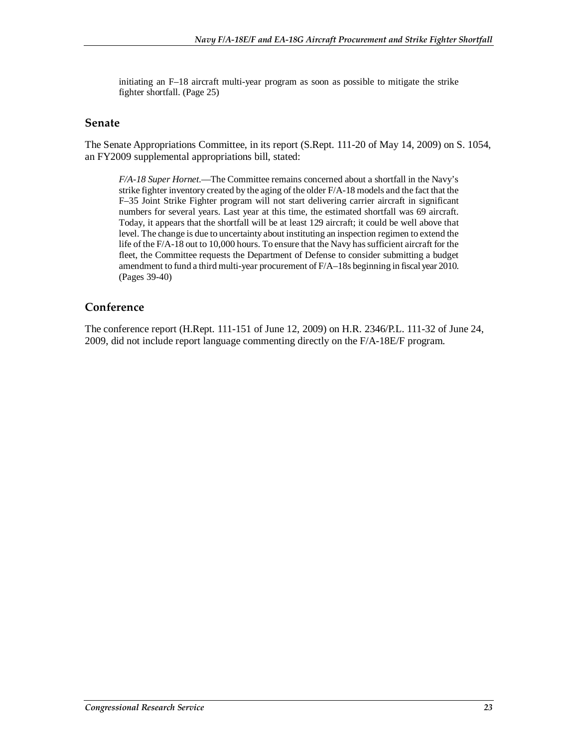initiating an F–18 aircraft multi-year program as soon as possible to mitigate the strike fighter shortfall. (Page 25)

### **Senate**

The Senate Appropriations Committee, in its report (S.Rept. 111-20 of May 14, 2009) on S. 1054, an FY2009 supplemental appropriations bill, stated:

*F/A-18 Super Hornet*.—The Committee remains concerned about a shortfall in the Navy's strike fighter inventory created by the aging of the older F/A-18 models and the fact that the F–35 Joint Strike Fighter program will not start delivering carrier aircraft in significant numbers for several years. Last year at this time, the estimated shortfall was 69 aircraft. Today, it appears that the shortfall will be at least 129 aircraft; it could be well above that level. The change is due to uncertainty about instituting an inspection regimen to extend the life of the F/A-18 out to 10,000 hours. To ensure that the Navy has sufficient aircraft for the fleet, the Committee requests the Department of Defense to consider submitting a budget amendment to fund a third multi-year procurement of F/A–18s beginning in fiscal year 2010. (Pages 39-40)

## **Conference**

The conference report (H.Rept. 111-151 of June 12, 2009) on H.R. 2346/P.L. 111-32 of June 24, 2009, did not include report language commenting directly on the F/A-18E/F program.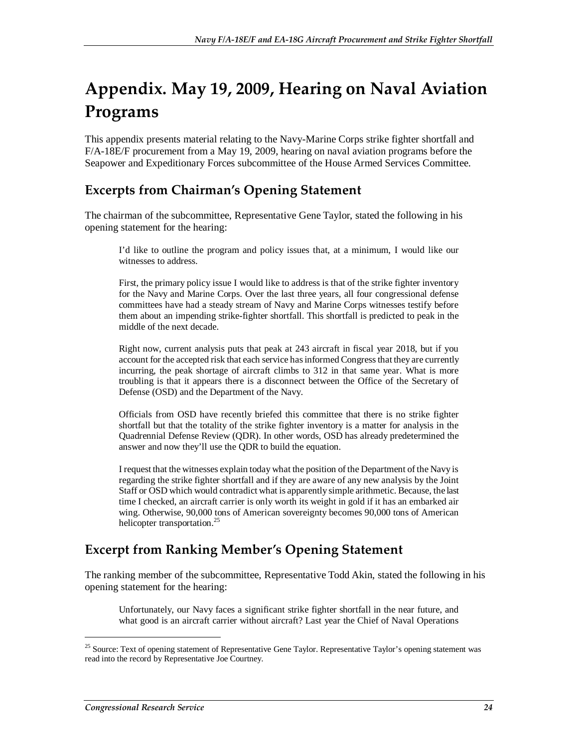# **Appendix. May 19, 2009, Hearing on Naval Aviation Programs**

This appendix presents material relating to the Navy-Marine Corps strike fighter shortfall and F/A-18E/F procurement from a May 19, 2009, hearing on naval aviation programs before the Seapower and Expeditionary Forces subcommittee of the House Armed Services Committee.

# **Excerpts from Chairman's Opening Statement**

The chairman of the subcommittee, Representative Gene Taylor, stated the following in his opening statement for the hearing:

I'd like to outline the program and policy issues that, at a minimum, I would like our witnesses to address.

First, the primary policy issue I would like to address is that of the strike fighter inventory for the Navy and Marine Corps. Over the last three years, all four congressional defense committees have had a steady stream of Navy and Marine Corps witnesses testify before them about an impending strike-fighter shortfall. This shortfall is predicted to peak in the middle of the next decade.

Right now, current analysis puts that peak at 243 aircraft in fiscal year 2018, but if you account for the accepted risk that each service has informed Congress that they are currently incurring, the peak shortage of aircraft climbs to 312 in that same year. What is more troubling is that it appears there is a disconnect between the Office of the Secretary of Defense (OSD) and the Department of the Navy.

Officials from OSD have recently briefed this committee that there is no strike fighter shortfall but that the totality of the strike fighter inventory is a matter for analysis in the Quadrennial Defense Review (QDR). In other words, OSD has already predetermined the answer and now they'll use the QDR to build the equation.

I request that the witnesses explain today what the position of the Department of the Navy is regarding the strike fighter shortfall and if they are aware of any new analysis by the Joint Staff or OSD which would contradict what is apparently simple arithmetic. Because, the last time I checked, an aircraft carrier is only worth its weight in gold if it has an embarked air wing. Otherwise, 90,000 tons of American sovereignty becomes 90,000 tons of American helicopter transportation.<sup>25</sup>

## **Excerpt from Ranking Member's Opening Statement**

The ranking member of the subcommittee, Representative Todd Akin, stated the following in his opening statement for the hearing:

Unfortunately, our Navy faces a significant strike fighter shortfall in the near future, and what good is an aircraft carrier without aircraft? Last year the Chief of Naval Operations

<sup>&</sup>lt;sup>25</sup> Source: Text of opening statement of Representative Gene Taylor. Representative Taylor's opening statement was read into the record by Representative Joe Courtney.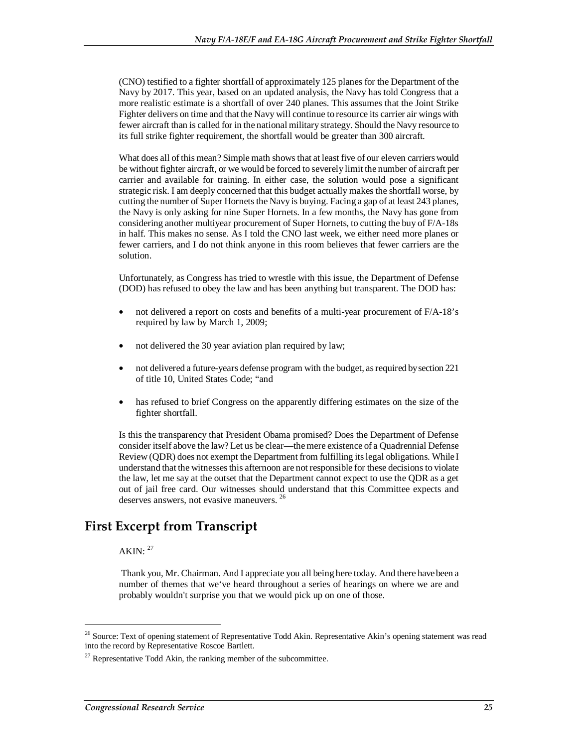(CNO) testified to a fighter shortfall of approximately 125 planes for the Department of the Navy by 2017. This year, based on an updated analysis, the Navy has told Congress that a more realistic estimate is a shortfall of over 240 planes. This assumes that the Joint Strike Fighter delivers on time and that the Navy will continue to resource its carrier air wings with fewer aircraft than is called for in the national military strategy. Should the Navy resource to its full strike fighter requirement, the shortfall would be greater than 300 aircraft.

What does all of this mean? Simple math shows that at least five of our eleven carriers would be without fighter aircraft, or we would be forced to severely limit the number of aircraft per carrier and available for training. In either case, the solution would pose a significant strategic risk. I am deeply concerned that this budget actually makes the shortfall worse, by cutting the number of Super Hornets the Navy is buying. Facing a gap of at least 243 planes, the Navy is only asking for nine Super Hornets. In a few months, the Navy has gone from considering another multiyear procurement of Super Hornets, to cutting the buy of F/A-18s in half. This makes no sense. As I told the CNO last week, we either need more planes or fewer carriers, and I do not think anyone in this room believes that fewer carriers are the solution.

Unfortunately, as Congress has tried to wrestle with this issue, the Department of Defense (DOD) has refused to obey the law and has been anything but transparent. The DOD has:

- not delivered a report on costs and benefits of a multi-year procurement of F/A-18's required by law by March 1, 2009;
- not delivered the 30 year aviation plan required by law;
- not delivered a future-years defense program with the budget, as required by section 221 of title 10, United States Code; "and
- has refused to brief Congress on the apparently differing estimates on the size of the fighter shortfall.

Is this the transparency that President Obama promised? Does the Department of Defense consider itself above the law? Let us be clear—the mere existence of a Quadrennial Defense Review (QDR) does not exempt the Department from fulfilling its legal obligations. While I understand that the witnesses this afternoon are not responsible for these decisions to violate the law, let me say at the outset that the Department cannot expect to use the QDR as a get out of jail free card. Our witnesses should understand that this Committee expects and deserves answers, not evasive maneuvers. 26

## **First Excerpt from Transcript**

AKIN:  $27$ 

1

 Thank you, Mr. Chairman. And I appreciate you all being here today. And there have been a number of themes that we've heard throughout a series of hearings on where we are and probably wouldn't surprise you that we would pick up on one of those.

<sup>&</sup>lt;sup>26</sup> Source: Text of opening statement of Representative Todd Akin. Representative Akin's opening statement was read into the record by Representative Roscoe Bartlett.

 $^{27}$  Representative Todd Akin, the ranking member of the subcommittee.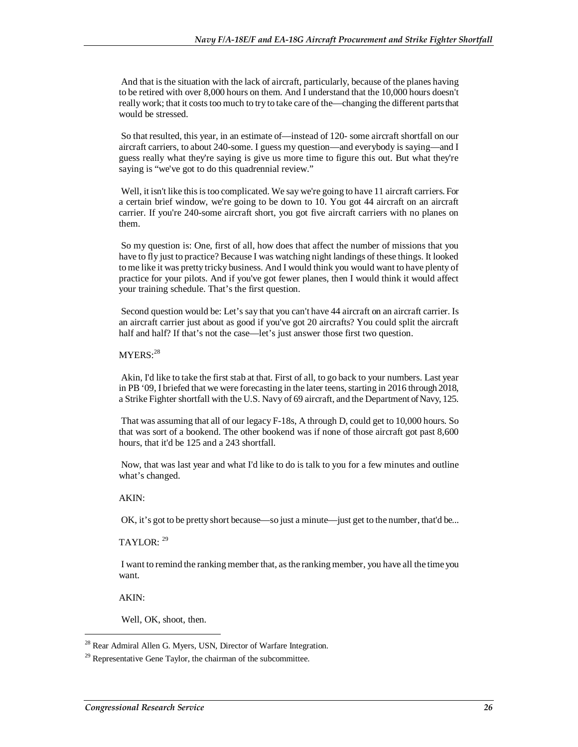And that is the situation with the lack of aircraft, particularly, because of the planes having to be retired with over 8,000 hours on them. And I understand that the 10,000 hours doesn't really work; that it costs too much to try to take care of the—changing the different parts that would be stressed.

 So that resulted, this year, in an estimate of—instead of 120- some aircraft shortfall on our aircraft carriers, to about 240-some. I guess my question—and everybody is saying—and I guess really what they're saying is give us more time to figure this out. But what they're saying is "we've got to do this quadrennial review."

Well, it isn't like this is too complicated. We say we're going to have 11 aircraft carriers. For a certain brief window, we're going to be down to 10. You got 44 aircraft on an aircraft carrier. If you're 240-some aircraft short, you got five aircraft carriers with no planes on them.

 So my question is: One, first of all, how does that affect the number of missions that you have to fly just to practice? Because I was watching night landings of these things. It looked to me like it was pretty tricky business. And I would think you would want to have plenty of practice for your pilots. And if you've got fewer planes, then I would think it would affect your training schedule. That's the first question.

 Second question would be: Let's say that you can't have 44 aircraft on an aircraft carrier. Is an aircraft carrier just about as good if you've got 20 aircrafts? You could split the aircraft half and half? If that's not the case—let's just answer those first two question.

#### $MYERS: <sup>28</sup>$

 Akin, I'd like to take the first stab at that. First of all, to go back to your numbers. Last year in PB '09, I briefed that we were forecasting in the later teens, starting in 2016 through 2018, a Strike Fighter shortfall with the U.S. Navy of 69 aircraft, and the Department of Navy, 125.

 That was assuming that all of our legacy F-18s, A through D, could get to 10,000 hours. So that was sort of a bookend. The other bookend was if none of those aircraft got past 8,600 hours, that it'd be 125 and a 243 shortfall.

 Now, that was last year and what I'd like to do is talk to you for a few minutes and outline what's changed.

#### AKIN:

OK, it's got to be pretty short because—so just a minute—just get to the number, that'd be...

#### TAYLOR: <sup>29</sup>

 I want to remind the ranking member that, as the ranking member, you have all the time you want.

AKIN:

1

Well, OK, shoot, then.

<sup>&</sup>lt;sup>28</sup> Rear Admiral Allen G. Myers, USN, Director of Warfare Integration.

 $^{29}$  Representative Gene Taylor, the chairman of the subcommittee.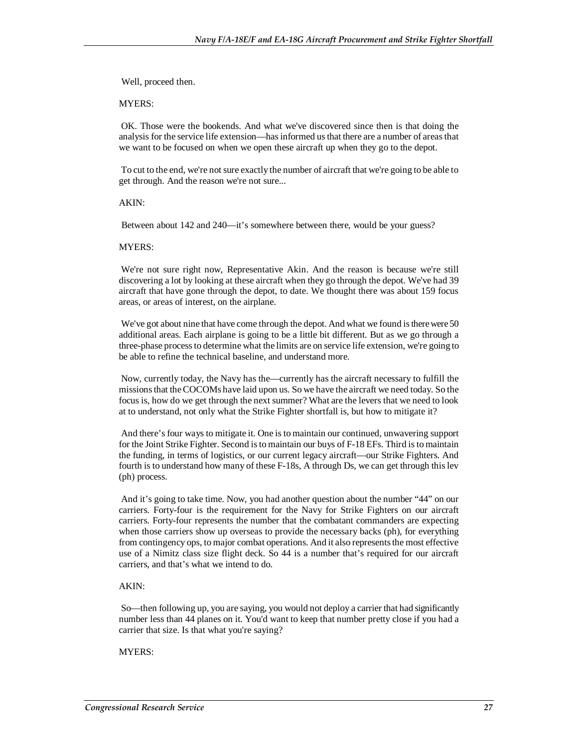Well, proceed then.

MYERS:

 OK. Those were the bookends. And what we've discovered since then is that doing the analysis for the service life extension—has informed us that there are a number of areas that we want to be focused on when we open these aircraft up when they go to the depot.

 To cut to the end, we're not sure exactly the number of aircraft that we're going to be able to get through. And the reason we're not sure...

AKIN:

Between about 142 and 240—it's somewhere between there, would be your guess?

#### MYERS:

 We're not sure right now, Representative Akin. And the reason is because we're still discovering a lot by looking at these aircraft when they go through the depot. We've had 39 aircraft that have gone through the depot, to date. We thought there was about 159 focus areas, or areas of interest, on the airplane.

 We've got about nine that have come through the depot. And what we found is there were 50 additional areas. Each airplane is going to be a little bit different. But as we go through a three-phase process to determine what the limits are on service life extension, we're going to be able to refine the technical baseline, and understand more.

 Now, currently today, the Navy has the—currently has the aircraft necessary to fulfill the missions that the COCOMs have laid upon us. So we have the aircraft we need today. So the focus is, how do we get through the next summer? What are the levers that we need to look at to understand, not only what the Strike Fighter shortfall is, but how to mitigate it?

 And there's four ways to mitigate it. One is to maintain our continued, unwavering support for the Joint Strike Fighter. Second is to maintain our buys of F-18 EFs. Third is to maintain the funding, in terms of logistics, or our current legacy aircraft—our Strike Fighters. And fourth is to understand how many of these F-18s, A through Ds, we can get through this lev (ph) process.

 And it's going to take time. Now, you had another question about the number "44" on our carriers. Forty-four is the requirement for the Navy for Strike Fighters on our aircraft carriers. Forty-four represents the number that the combatant commanders are expecting when those carriers show up overseas to provide the necessary backs (ph), for everything from contingency ops, to major combat operations. And it also represents the most effective use of a Nimitz class size flight deck. So 44 is a number that's required for our aircraft carriers, and that's what we intend to do.

#### AKIN:

 So—then following up, you are saying, you would not deploy a carrier that had significantly number less than 44 planes on it. You'd want to keep that number pretty close if you had a carrier that size. Is that what you're saying?

#### MYERS: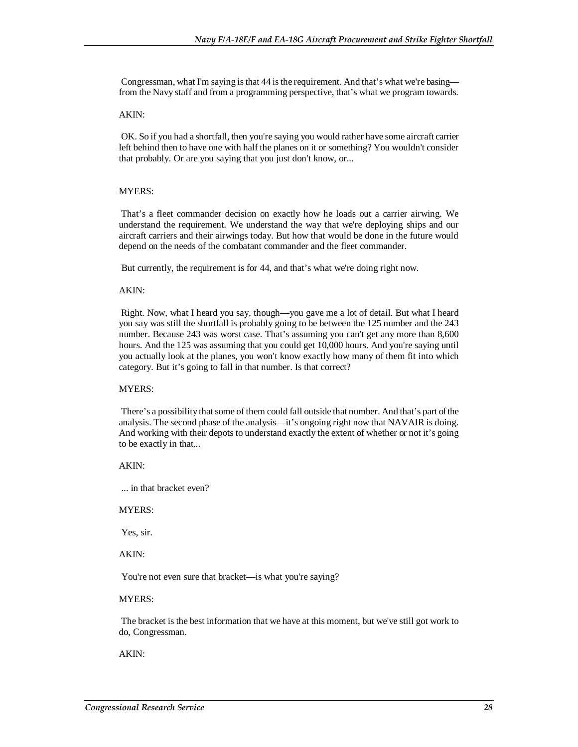Congressman, what I'm saying is that 44 is the requirement. And that's what we're basing from the Navy staff and from a programming perspective, that's what we program towards.

#### AKIN:

 OK. So if you had a shortfall, then you're saying you would rather have some aircraft carrier left behind then to have one with half the planes on it or something? You wouldn't consider that probably. Or are you saying that you just don't know, or...

#### MYERS:

 That's a fleet commander decision on exactly how he loads out a carrier airwing. We understand the requirement. We understand the way that we're deploying ships and our aircraft carriers and their airwings today. But how that would be done in the future would depend on the needs of the combatant commander and the fleet commander.

But currently, the requirement is for 44, and that's what we're doing right now.

#### AKIN:

 Right. Now, what I heard you say, though—you gave me a lot of detail. But what I heard you say was still the shortfall is probably going to be between the 125 number and the 243 number. Because 243 was worst case. That's assuming you can't get any more than 8,600 hours. And the 125 was assuming that you could get 10,000 hours. And you're saying until you actually look at the planes, you won't know exactly how many of them fit into which category. But it's going to fall in that number. Is that correct?

#### MYERS:

 There's a possibility that some of them could fall outside that number. And that's part of the analysis. The second phase of the analysis—it's ongoing right now that NAVAIR is doing. And working with their depots to understand exactly the extent of whether or not it's going to be exactly in that...

#### AKIN:

... in that bracket even?

#### MYERS:

Yes, sir.

#### AKIN:

You're not even sure that bracket—is what you're saying?

#### MYERS:

 The bracket is the best information that we have at this moment, but we've still got work to do, Congressman.

AKIN: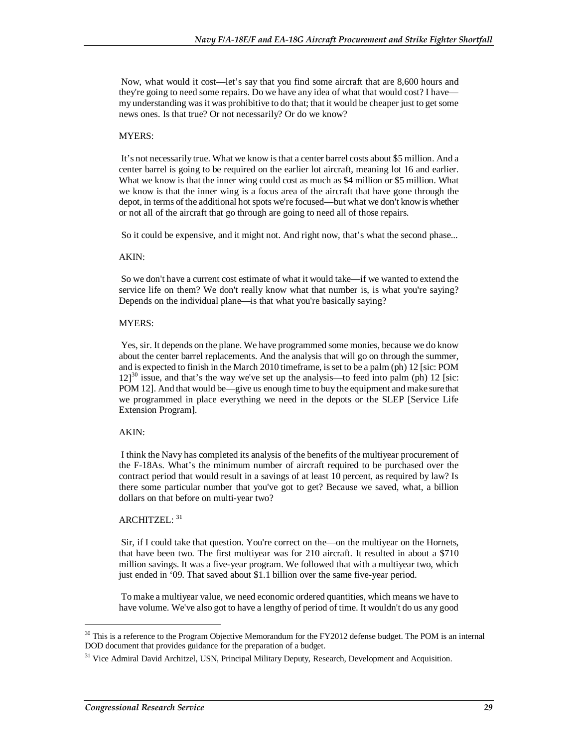Now, what would it cost—let's say that you find some aircraft that are 8,600 hours and they're going to need some repairs. Do we have any idea of what that would cost? I have my understanding was it was prohibitive to do that; that it would be cheaper just to get some news ones. Is that true? Or not necessarily? Or do we know?

#### MYERS:

 It's not necessarily true. What we know is that a center barrel costs about \$5 million. And a center barrel is going to be required on the earlier lot aircraft, meaning lot 16 and earlier. What we know is that the inner wing could cost as much as \$4 million or \$5 million. What we know is that the inner wing is a focus area of the aircraft that have gone through the depot, in terms of the additional hot spots we're focused—but what we don't know is whether or not all of the aircraft that go through are going to need all of those repairs.

So it could be expensive, and it might not. And right now, that's what the second phase...

#### AKIN:

 So we don't have a current cost estimate of what it would take—if we wanted to extend the service life on them? We don't really know what that number is, is what you're saying? Depends on the individual plane—is that what you're basically saying?

#### MYERS:

 Yes, sir. It depends on the plane. We have programmed some monies, because we do know about the center barrel replacements. And the analysis that will go on through the summer, and is expected to finish in the March 2010 timeframe, is set to be a palm (ph) 12 [sic: POM  $12$ ]<sup>30</sup> issue, and that's the way we've set up the analysis—to feed into palm (ph) 12 [sic: POM 12]. And that would be—give us enough time to buy the equipment and make sure that we programmed in place everything we need in the depots or the SLEP [Service Life Extension Program].

#### AKIN:

 I think the Navy has completed its analysis of the benefits of the multiyear procurement of the F-18As. What's the minimum number of aircraft required to be purchased over the contract period that would result in a savings of at least 10 percent, as required by law? Is there some particular number that you've got to get? Because we saved, what, a billion dollars on that before on multi-year two?

#### ARCHITZEL: 31

 Sir, if I could take that question. You're correct on the—on the multiyear on the Hornets, that have been two. The first multiyear was for 210 aircraft. It resulted in about a \$710 million savings. It was a five-year program. We followed that with a multiyear two, which just ended in '09. That saved about \$1.1 billion over the same five-year period.

 To make a multiyear value, we need economic ordered quantities, which means we have to have volume. We've also got to have a lengthy of period of time. It wouldn't do us any good

<sup>&</sup>lt;sup>30</sup> This is a reference to the Program Objective Memorandum for the FY2012 defense budget. The POM is an internal DOD document that provides guidance for the preparation of a budget.

<sup>&</sup>lt;sup>31</sup> Vice Admiral David Architzel, USN, Principal Military Deputy, Research, Development and Acquisition.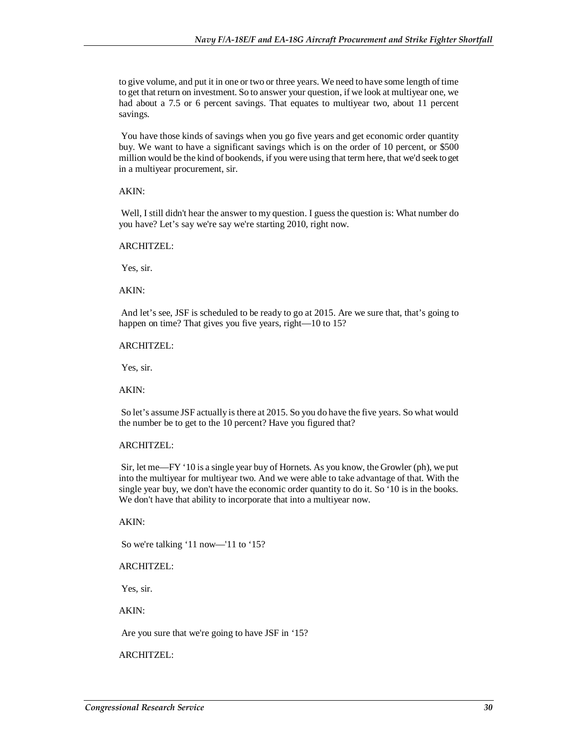to give volume, and put it in one or two or three years. We need to have some length of time to get that return on investment. So to answer your question, if we look at multiyear one, we had about a 7.5 or 6 percent savings. That equates to multiyear two, about 11 percent savings.

 You have those kinds of savings when you go five years and get economic order quantity buy. We want to have a significant savings which is on the order of 10 percent, or \$500 million would be the kind of bookends, if you were using that term here, that we'd seek to get in a multiyear procurement, sir.

#### AKIN:

 Well, I still didn't hear the answer to my question. I guess the question is: What number do you have? Let's say we're say we're starting 2010, right now.

#### ARCHITZEL:

Yes, sir.

AKIN:

 And let's see, JSF is scheduled to be ready to go at 2015. Are we sure that, that's going to happen on time? That gives you five years, right—10 to 15?

#### ARCHITZEL:

Yes, sir.

AKIN:

 So let's assume JSF actually is there at 2015. So you do have the five years. So what would the number be to get to the 10 percent? Have you figured that?

#### ARCHITZEL:

 Sir, let me—FY '10 is a single year buy of Hornets. As you know, the Growler (ph), we put into the multiyear for multiyear two. And we were able to take advantage of that. With the single year buy, we don't have the economic order quantity to do it. So '10 is in the books. We don't have that ability to incorporate that into a multiyear now.

AKIN:

So we're talking '11 now—'11 to '15?

ARCHITZEL:

Yes, sir.

AKIN:

Are you sure that we're going to have JSF in '15?

ARCHITZEL: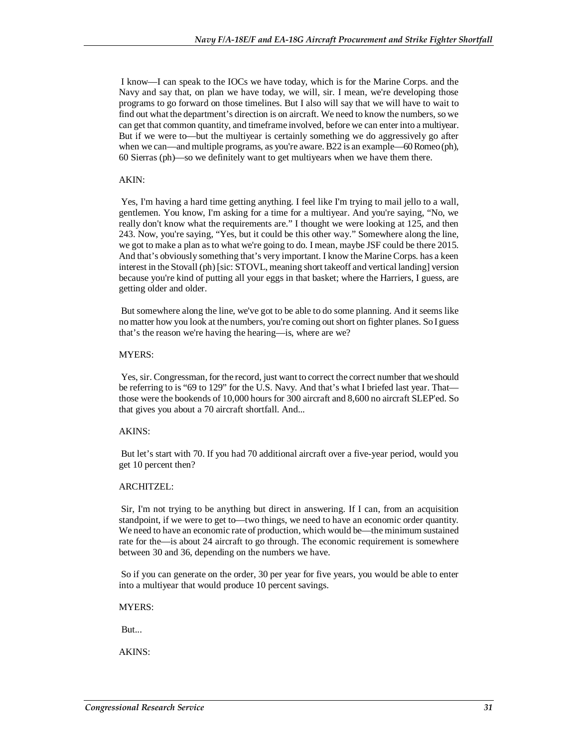I know—I can speak to the IOCs we have today, which is for the Marine Corps. and the Navy and say that, on plan we have today, we will, sir. I mean, we're developing those programs to go forward on those timelines. But I also will say that we will have to wait to find out what the department's direction is on aircraft. We need to know the numbers, so we can get that common quantity, and timeframe involved, before we can enter into a multiyear. But if we were to—but the multiyear is certainly something we do aggressively go after when we can—and multiple programs, as you're aware. B22 is an example—60 Romeo (ph), 60 Sierras (ph)—so we definitely want to get multiyears when we have them there.

#### AKIN:

 Yes, I'm having a hard time getting anything. I feel like I'm trying to mail jello to a wall, gentlemen. You know, I'm asking for a time for a multiyear. And you're saying, "No, we really don't know what the requirements are." I thought we were looking at 125, and then 243. Now, you're saying, "Yes, but it could be this other way." Somewhere along the line, we got to make a plan as to what we're going to do. I mean, maybe JSF could be there 2015. And that's obviously something that's very important. I know the Marine Corps. has a keen interest in the Stovall (ph) [sic: STOVL, meaning short takeoff and vertical landing] version because you're kind of putting all your eggs in that basket; where the Harriers, I guess, are getting older and older.

 But somewhere along the line, we've got to be able to do some planning. And it seems like no matter how you look at the numbers, you're coming out short on fighter planes. So I guess that's the reason we're having the hearing—is, where are we?

#### MYERS:

 Yes, sir. Congressman, for the record, just want to correct the correct number that we should be referring to is "69 to 129" for the U.S. Navy. And that's what I briefed last year. That those were the bookends of 10,000 hours for 300 aircraft and 8,600 no aircraft SLEP'ed. So that gives you about a 70 aircraft shortfall. And...

#### AKINS:

 But let's start with 70. If you had 70 additional aircraft over a five-year period, would you get 10 percent then?

#### ARCHITZEL:

 Sir, I'm not trying to be anything but direct in answering. If I can, from an acquisition standpoint, if we were to get to—two things, we need to have an economic order quantity. We need to have an economic rate of production, which would be—the minimum sustained rate for the—is about 24 aircraft to go through. The economic requirement is somewhere between 30 and 36, depending on the numbers we have.

 So if you can generate on the order, 30 per year for five years, you would be able to enter into a multiyear that would produce 10 percent savings.

MYERS:

But...

AKINS: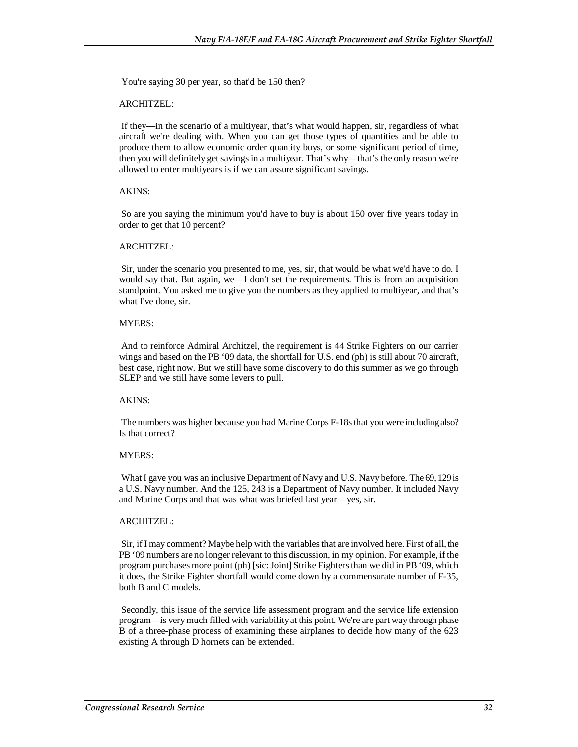You're saying 30 per year, so that'd be 150 then?

#### ARCHITZEL:

 If they—in the scenario of a multiyear, that's what would happen, sir, regardless of what aircraft we're dealing with. When you can get those types of quantities and be able to produce them to allow economic order quantity buys, or some significant period of time, then you will definitely get savings in a multiyear. That's why—that's the only reason we're allowed to enter multiyears is if we can assure significant savings.

#### AKINS:

 So are you saying the minimum you'd have to buy is about 150 over five years today in order to get that 10 percent?

#### ARCHITZEL:

 Sir, under the scenario you presented to me, yes, sir, that would be what we'd have to do. I would say that. But again, we—I don't set the requirements. This is from an acquisition standpoint. You asked me to give you the numbers as they applied to multiyear, and that's what I've done, sir.

#### MYERS:

 And to reinforce Admiral Architzel, the requirement is 44 Strike Fighters on our carrier wings and based on the PB '09 data, the shortfall for U.S. end (ph) is still about 70 aircraft, best case, right now. But we still have some discovery to do this summer as we go through SLEP and we still have some levers to pull.

#### AKINS:

 The numbers was higher because you had Marine Corps F-18s that you were including also? Is that correct?

#### MYERS:

 What I gave you was an inclusive Department of Navy and U.S. Navy before. The 69, 129 is a U.S. Navy number. And the 125, 243 is a Department of Navy number. It included Navy and Marine Corps and that was what was briefed last year—yes, sir.

#### ARCHITZEL:

 Sir, if I may comment? Maybe help with the variables that are involved here. First of all, the PB '09 numbers are no longer relevant to this discussion, in my opinion. For example, if the program purchases more point (ph) [sic: Joint] Strike Fighters than we did in PB '09, which it does, the Strike Fighter shortfall would come down by a commensurate number of F-35, both B and C models.

 Secondly, this issue of the service life assessment program and the service life extension program—is very much filled with variability at this point. We're are part way through phase B of a three-phase process of examining these airplanes to decide how many of the 623 existing A through D hornets can be extended.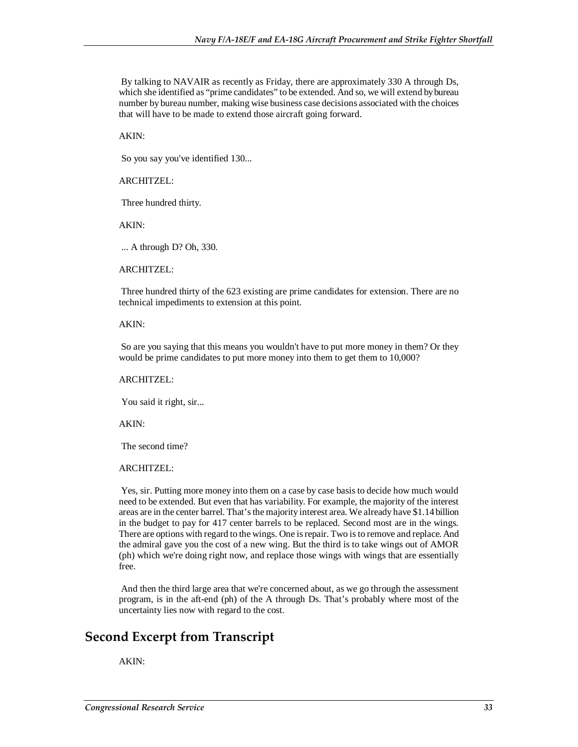By talking to NAVAIR as recently as Friday, there are approximately 330 A through Ds, which she identified as "prime candidates" to be extended. And so, we will extend by bureau number by bureau number, making wise business case decisions associated with the choices that will have to be made to extend those aircraft going forward.

AKIN:

So you say you've identified 130...

#### ARCHITZEL:

Three hundred thirty.

AKIN:

... A through D? Oh, 330.

#### ARCHITZEL:

 Three hundred thirty of the 623 existing are prime candidates for extension. There are no technical impediments to extension at this point.

#### AKIN:

 So are you saying that this means you wouldn't have to put more money in them? Or they would be prime candidates to put more money into them to get them to 10,000?

#### ARCHITZEL:

You said it right, sir...

AKIN:

The second time?

#### ARCHITZEL:

 Yes, sir. Putting more money into them on a case by case basis to decide how much would need to be extended. But even that has variability. For example, the majority of the interest areas are in the center barrel. That's the majority interest area. We already have \$1.14 billion in the budget to pay for 417 center barrels to be replaced. Second most are in the wings. There are options with regard to the wings. One is repair. Two is to remove and replace. And the admiral gave you the cost of a new wing. But the third is to take wings out of AMOR (ph) which we're doing right now, and replace those wings with wings that are essentially free.

 And then the third large area that we're concerned about, as we go through the assessment program, is in the aft-end (ph) of the A through Ds. That's probably where most of the uncertainty lies now with regard to the cost.

## **Second Excerpt from Transcript**

#### AKIN: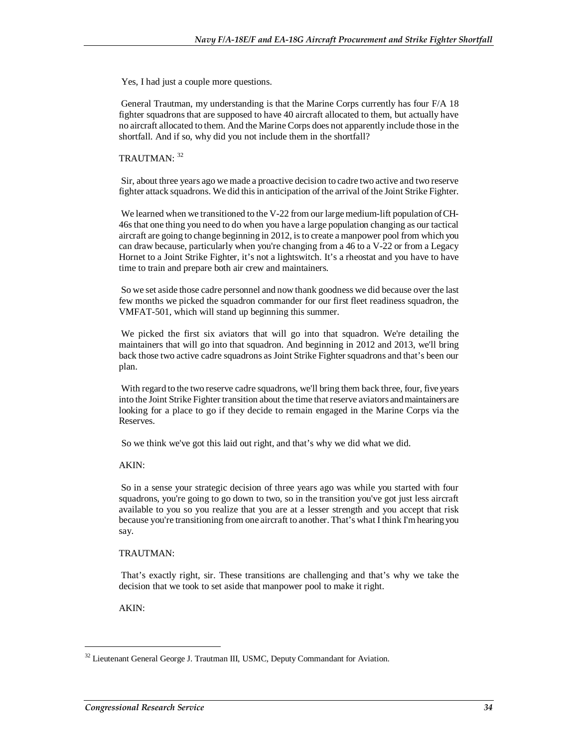Yes, I had just a couple more questions.

 General Trautman, my understanding is that the Marine Corps currently has four F/A 18 fighter squadrons that are supposed to have 40 aircraft allocated to them, but actually have no aircraft allocated to them. And the Marine Corps does not apparently include those in the shortfall. And if so, why did you not include them in the shortfall?

### TRAUTMAN<sup>. 32</sup>

 Sir, about three years ago we made a proactive decision to cadre two active and two reserve fighter attack squadrons. We did this in anticipation of the arrival of the Joint Strike Fighter.

 We learned when we transitioned to the V-22 from our large medium-lift population of CH-46s that one thing you need to do when you have a large population changing as our tactical aircraft are going to change beginning in 2012, is to create a manpower pool from which you can draw because, particularly when you're changing from a 46 to a V-22 or from a Legacy Hornet to a Joint Strike Fighter, it's not a lightswitch. It's a rheostat and you have to have time to train and prepare both air crew and maintainers.

 So we set aside those cadre personnel and now thank goodness we did because over the last few months we picked the squadron commander for our first fleet readiness squadron, the VMFAT-501, which will stand up beginning this summer.

 We picked the first six aviators that will go into that squadron. We're detailing the maintainers that will go into that squadron. And beginning in 2012 and 2013, we'll bring back those two active cadre squadrons as Joint Strike Fighter squadrons and that's been our plan.

 With regard to the two reserve cadre squadrons, we'll bring them back three, four, five years into the Joint Strike Fighter transition about the time that reserve aviators and maintainers are looking for a place to go if they decide to remain engaged in the Marine Corps via the Reserves.

So we think we've got this laid out right, and that's why we did what we did.

#### AKIN:

 So in a sense your strategic decision of three years ago was while you started with four squadrons, you're going to go down to two, so in the transition you've got just less aircraft available to you so you realize that you are at a lesser strength and you accept that risk because you're transitioning from one aircraft to another. That's what I think I'm hearing you say.

#### TRAUTMAN:

 That's exactly right, sir. These transitions are challenging and that's why we take the decision that we took to set aside that manpower pool to make it right.

AKIN:

<sup>&</sup>lt;sup>32</sup> Lieutenant General George J. Trautman III, USMC, Deputy Commandant for Aviation.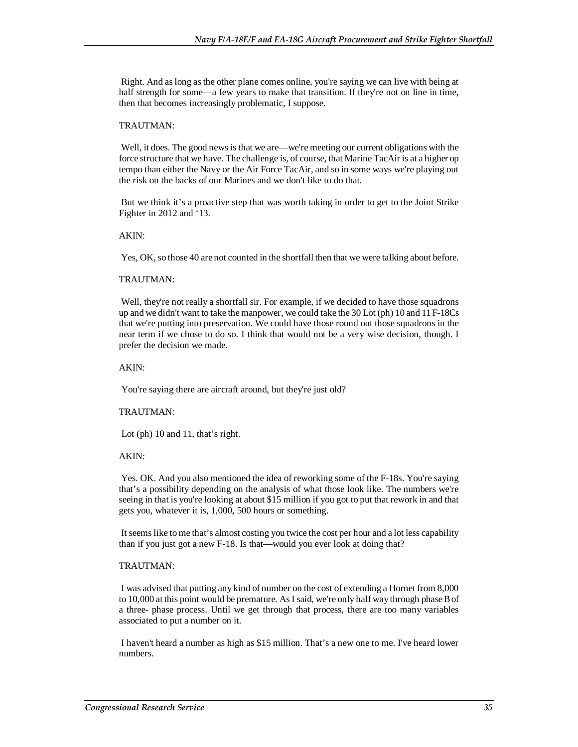Right. And as long as the other plane comes online, you're saying we can live with being at half strength for some—a few years to make that transition. If they're not on line in time, then that becomes increasingly problematic, I suppose.

#### TRAUTMAN:

 Well, it does. The good news is that we are—we're meeting our current obligations with the force structure that we have. The challenge is, of course, that Marine TacAir is at a higher op tempo than either the Navy or the Air Force TacAir, and so in some ways we're playing out the risk on the backs of our Marines and we don't like to do that.

 But we think it's a proactive step that was worth taking in order to get to the Joint Strike Fighter in 2012 and '13.

#### AKIN:

Yes, OK, so those 40 are not counted in the shortfall then that we were talking about before.

#### TRAUTMAN:

Well, they're not really a shortfall sir. For example, if we decided to have those squadrons up and we didn't want to take the manpower, we could take the 30 Lot (ph) 10 and 11 F-18Cs that we're putting into preservation. We could have those round out those squadrons in the near term if we chose to do so. I think that would not be a very wise decision, though. I prefer the decision we made.

#### AKIN:

You're saying there are aircraft around, but they're just old?

#### TRAUTMAN:

Lot (ph) 10 and 11, that's right.

#### AKIN:

 Yes. OK. And you also mentioned the idea of reworking some of the F-18s. You're saying that's a possibility depending on the analysis of what those look like. The numbers we're seeing in that is you're looking at about \$15 million if you got to put that rework in and that gets you, whatever it is, 1,000, 500 hours or something.

 It seems like to me that's almost costing you twice the cost per hour and a lot less capability than if you just got a new F-18. Is that—would you ever look at doing that?

#### TRAUTMAN:

 I was advised that putting any kind of number on the cost of extending a Hornet from 8,000 to 10,000 at this point would be premature. As I said, we're only half way through phase B of a three- phase process. Until we get through that process, there are too many variables associated to put a number on it.

 I haven't heard a number as high as \$15 million. That's a new one to me. I've heard lower numbers.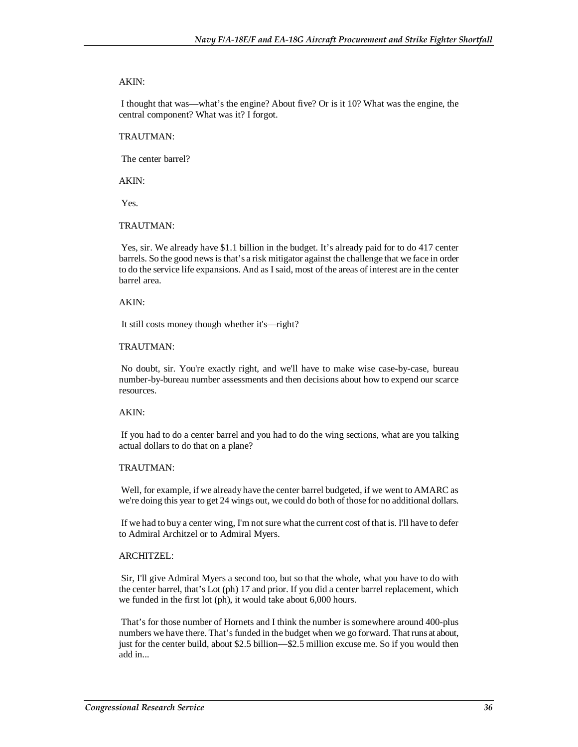#### AKIN:

 I thought that was—what's the engine? About five? Or is it 10? What was the engine, the central component? What was it? I forgot.

#### TRAUTMAN:

The center barrel?

AKIN:

Yes.

#### TRAUTMAN:

 Yes, sir. We already have \$1.1 billion in the budget. It's already paid for to do 417 center barrels. So the good news is that's a risk mitigator against the challenge that we face in order to do the service life expansions. And as I said, most of the areas of interest are in the center barrel area.

#### AKIN:

It still costs money though whether it's—right?

#### TRAUTMAN:

 No doubt, sir. You're exactly right, and we'll have to make wise case-by-case, bureau number-by-bureau number assessments and then decisions about how to expend our scarce resources.

#### AKIN:

 If you had to do a center barrel and you had to do the wing sections, what are you talking actual dollars to do that on a plane?

#### TRAUTMAN:

 Well, for example, if we already have the center barrel budgeted, if we went to AMARC as we're doing this year to get 24 wings out, we could do both of those for no additional dollars.

 If we had to buy a center wing, I'm not sure what the current cost of that is. I'll have to defer to Admiral Architzel or to Admiral Myers.

#### ARCHITZEL:

 Sir, I'll give Admiral Myers a second too, but so that the whole, what you have to do with the center barrel, that's Lot (ph) 17 and prior. If you did a center barrel replacement, which we funded in the first lot (ph), it would take about 6,000 hours.

 That's for those number of Hornets and I think the number is somewhere around 400-plus numbers we have there. That's funded in the budget when we go forward. That runs at about, just for the center build, about \$2.5 billion—\$2.5 million excuse me. So if you would then add in...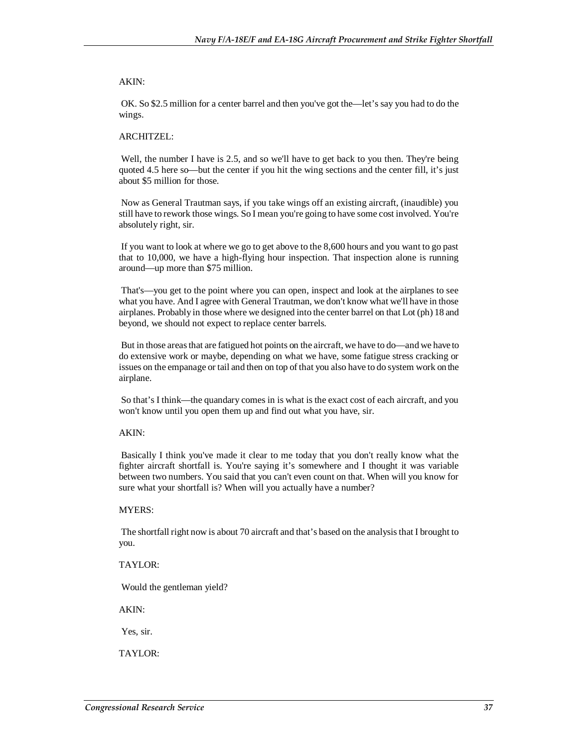#### AKIN:

 OK. So \$2.5 million for a center barrel and then you've got the—let's say you had to do the wings.

#### ARCHITZEL:

Well, the number I have is 2.5, and so we'll have to get back to you then. They're being quoted 4.5 here so—but the center if you hit the wing sections and the center fill, it's just about \$5 million for those.

 Now as General Trautman says, if you take wings off an existing aircraft, (inaudible) you still have to rework those wings. So I mean you're going to have some cost involved. You're absolutely right, sir.

 If you want to look at where we go to get above to the 8,600 hours and you want to go past that to 10,000, we have a high-flying hour inspection. That inspection alone is running around—up more than \$75 million.

 That's—you get to the point where you can open, inspect and look at the airplanes to see what you have. And I agree with General Trautman, we don't know what we'll have in those airplanes. Probably in those where we designed into the center barrel on that Lot (ph) 18 and beyond, we should not expect to replace center barrels.

 But in those areas that are fatigued hot points on the aircraft, we have to do—and we have to do extensive work or maybe, depending on what we have, some fatigue stress cracking or issues on the empanage or tail and then on top of that you also have to do system work on the airplane.

 So that's I think—the quandary comes in is what is the exact cost of each aircraft, and you won't know until you open them up and find out what you have, sir.

#### AKIN:

 Basically I think you've made it clear to me today that you don't really know what the fighter aircraft shortfall is. You're saying it's somewhere and I thought it was variable between two numbers. You said that you can't even count on that. When will you know for sure what your shortfall is? When will you actually have a number?

#### MYERS:

 The shortfall right now is about 70 aircraft and that's based on the analysis that I brought to you.

#### TAYLOR:

Would the gentleman yield?

AKIN:

Yes, sir.

TAYLOR: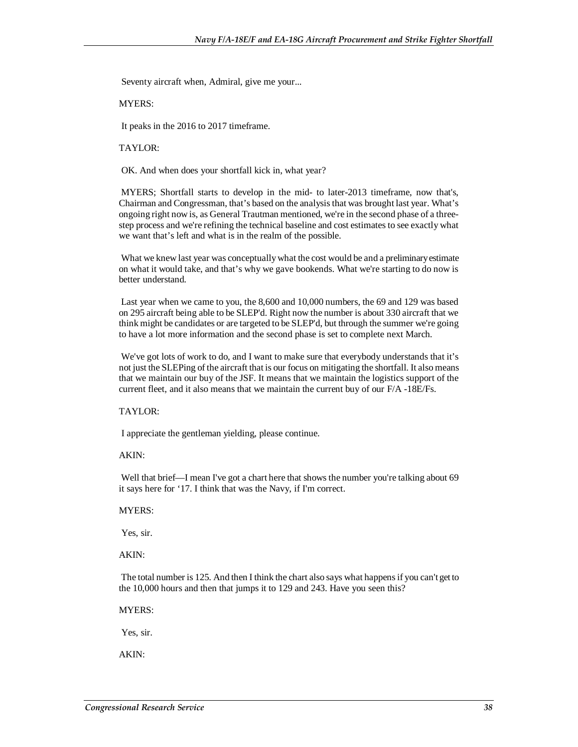Seventy aircraft when, Admiral, give me your...

#### MYERS:

It peaks in the 2016 to 2017 timeframe.

TAYLOR:

OK. And when does your shortfall kick in, what year?

 MYERS; Shortfall starts to develop in the mid- to later-2013 timeframe, now that's, Chairman and Congressman, that's based on the analysis that was brought last year. What's ongoing right now is, as General Trautman mentioned, we're in the second phase of a threestep process and we're refining the technical baseline and cost estimates to see exactly what we want that's left and what is in the realm of the possible.

 What we knew last year was conceptually what the cost would be and a preliminary estimate on what it would take, and that's why we gave bookends. What we're starting to do now is better understand.

 Last year when we came to you, the 8,600 and 10,000 numbers, the 69 and 129 was based on 295 aircraft being able to be SLEP'd. Right now the number is about 330 aircraft that we think might be candidates or are targeted to be SLEP'd, but through the summer we're going to have a lot more information and the second phase is set to complete next March.

We've got lots of work to do, and I want to make sure that everybody understands that it's not just the SLEPing of the aircraft that is our focus on mitigating the shortfall. It also means that we maintain our buy of the JSF. It means that we maintain the logistics support of the current fleet, and it also means that we maintain the current buy of our F/A -18E/Fs.

#### TAYLOR:

I appreciate the gentleman yielding, please continue.

AKIN:

 Well that brief—I mean I've got a chart here that shows the number you're talking about 69 it says here for '17. I think that was the Navy, if I'm correct.

MYERS:

Yes, sir.

AKIN:

 The total number is 125. And then I think the chart also says what happens if you can't get to the 10,000 hours and then that jumps it to 129 and 243. Have you seen this?

MYERS:

Yes, sir.

AKIN: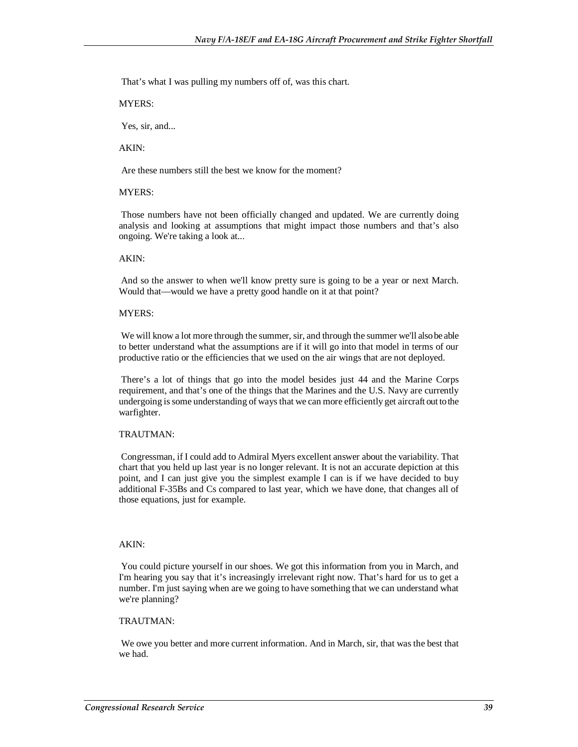That's what I was pulling my numbers off of, was this chart.

MYERS:

Yes, sir, and...

AKIN:

Are these numbers still the best we know for the moment?

#### MYERS:

 Those numbers have not been officially changed and updated. We are currently doing analysis and looking at assumptions that might impact those numbers and that's also ongoing. We're taking a look at...

#### AKIN:

 And so the answer to when we'll know pretty sure is going to be a year or next March. Would that—would we have a pretty good handle on it at that point?

#### MYERS:

 We will know a lot more through the summer, sir, and through the summer we'll also be able to better understand what the assumptions are if it will go into that model in terms of our productive ratio or the efficiencies that we used on the air wings that are not deployed.

 There's a lot of things that go into the model besides just 44 and the Marine Corps requirement, and that's one of the things that the Marines and the U.S. Navy are currently undergoing is some understanding of ways that we can more efficiently get aircraft out to the warfighter.

#### TRAUTMAN:

 Congressman, if I could add to Admiral Myers excellent answer about the variability. That chart that you held up last year is no longer relevant. It is not an accurate depiction at this point, and I can just give you the simplest example I can is if we have decided to buy additional F-35Bs and Cs compared to last year, which we have done, that changes all of those equations, just for example.

#### AKIN:

 You could picture yourself in our shoes. We got this information from you in March, and I'm hearing you say that it's increasingly irrelevant right now. That's hard for us to get a number. I'm just saying when are we going to have something that we can understand what we're planning?

#### TRAUTMAN:

 We owe you better and more current information. And in March, sir, that was the best that we had.